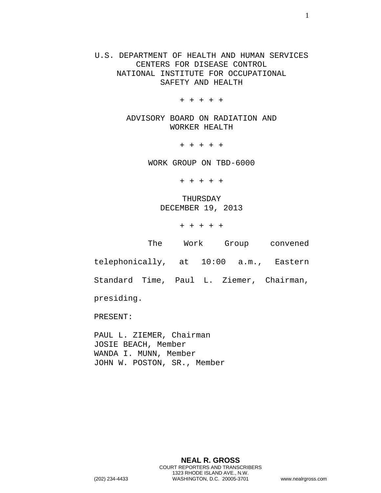U.S. DEPARTMENT OF HEALTH AND HUMAN SERVICES CENTERS FOR DISEASE CONTROL NATIONAL INSTITUTE FOR OCCUPATIONAL SAFETY AND HEALTH

+ + + + +

ADVISORY BOARD ON RADIATION AND WORKER HEALTH

+ + + + +

WORK GROUP ON TBD-6000

+ + + + +

THURSDAY DECEMBER 19, 2013

+ + + + +

| The                                    |  | Work Group convened |
|----------------------------------------|--|---------------------|
| telephonically, at 10:00 a.m., Eastern |  |                     |

Standard Time, Paul L. Ziemer, Chairman,

presiding.

PRESENT:

PAUL L. ZIEMER, Chairman JOSIE BEACH, Member WANDA I. MUNN, Member JOHN W. POSTON, SR., Member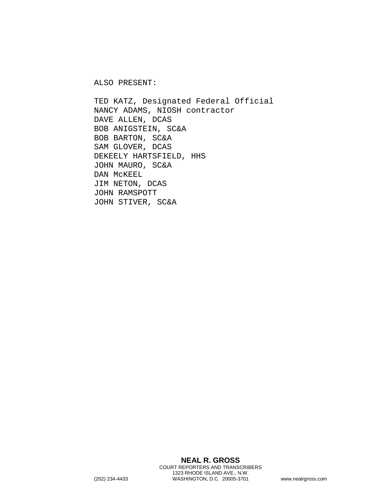ALSO PRESENT:

TED KATZ, Designated Federal Official NANCY ADAMS, NIOSH contractor DAVE ALLEN, DCAS BOB ANIGSTEIN, SC&A BOB BARTON, SC&A SAM GLOVER, DCAS DEKEELY HARTSFIELD, HHS JOHN MAURO, SC&A DAN McKEEL JIM NETON, DCAS JOHN RAMSPOTT JOHN STIVER, SC&A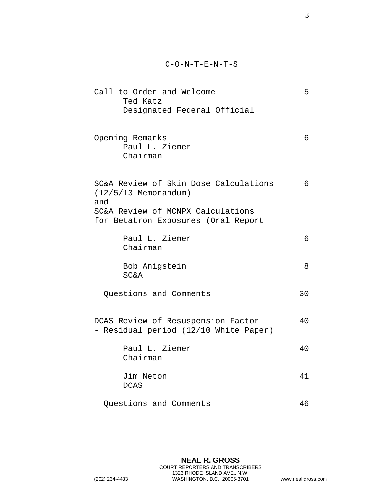- Call to Order and Welcome 5 Ted Katz Designated Federal Official
- Opening Remarks 6 Paul L. Ziemer Chairman

SC&A Review of Skin Dose Calculations 6 (12/5/13 Memorandum) and SC&A Review of MCNPX Calculations for Betatron Exposures (Oral Report

- Paul L. Ziemer 6 Chairman
- Bob Anigstein 8 SC&A
- Questions and Comments 30
- DCAS Review of Resuspension Factor 40 - Residual period (12/10 White Paper)
	- Paul L. Ziemer 40 Chairman
	- Jim Neton 41 DCAS
	- Questions and Comments 46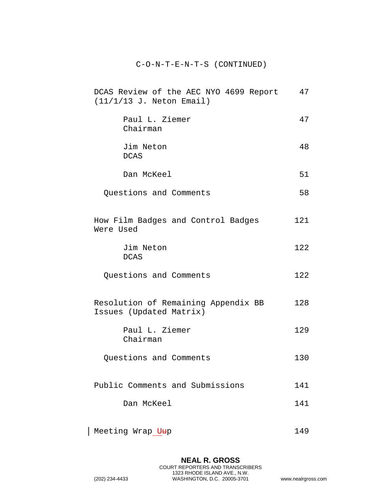## C-O-N-T-E-N-T-S (CONTINUED)

| DCAS Review of the AEC NYO 4699 Report<br>$(11/1/13$ J. Neton Email) | 47  |
|----------------------------------------------------------------------|-----|
| Paul L. Ziemer<br>Chairman                                           | 47  |
| Jim Neton<br><b>DCAS</b>                                             | 48  |
| Dan McKeel                                                           | 51  |
| Questions and Comments                                               | 58  |
| How Film Badges and Control Badges<br>Were Used                      | 121 |
| Jim Neton<br><b>DCAS</b>                                             | 122 |
| Questions and Comments                                               | 122 |
| Resolution of Remaining Appendix BB<br>Issues (Updated Matrix)       |     |
| Paul L. Ziemer<br>Chairman                                           | 129 |
| Questions and Comments                                               | 130 |
| Public Comments and Submissions                                      |     |
| Dan McKeel                                                           | 141 |
| Meeting Wrap Uup                                                     | 149 |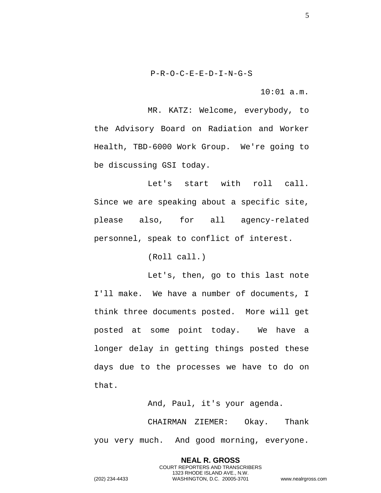10:01 a.m.

MR. KATZ: Welcome, everybody, to the Advisory Board on Radiation and Worker Health, TBD-6000 Work Group. We're going to be discussing GSI today.

Let's start with roll call. Since we are speaking about a specific site, please also, for all agency-related personnel, speak to conflict of interest.

(Roll call.)

Let's, then, go to this last note I'll make. We have a number of documents, I think three documents posted. More will get posted at some point today. We have a longer delay in getting things posted these days due to the processes we have to do on that.

And, Paul, it's your agenda.

**NEAL R. GROSS** COURT REPORTERS AND TRANSCRIBERS 1323 RHODE ISLAND AVE., N.W.

CHAIRMAN ZIEMER: Okay. Thank you very much. And good morning, everyone.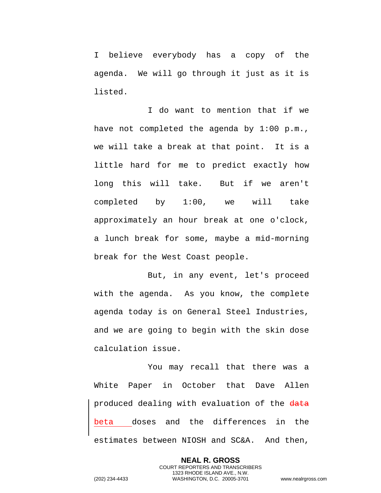I believe everybody has a copy of the agenda. We will go through it just as it is listed.

I do want to mention that if we have not completed the agenda by 1:00 p.m., we will take a break at that point. It is a little hard for me to predict exactly how long this will take. But if we aren't completed by 1:00, we will take approximately an hour break at one o'clock, a lunch break for some, maybe a mid-morning break for the West Coast people.

But, in any event, let's proceed with the agenda. As you know, the complete agenda today is on General Steel Industries, and we are going to begin with the skin dose calculation issue.

You may recall that there was a White Paper in October that Dave Allen produced dealing with evaluation of the data beta doses and the differences in the estimates between NIOSH and SC&A. And then,

> **NEAL R. GROSS** COURT REPORTERS AND TRANSCRIBERS 1323 RHODE ISLAND AVE., N.W.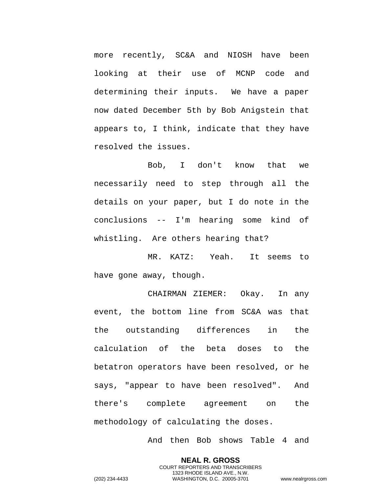more recently, SC&A and NIOSH have been looking at their use of MCNP code and determining their inputs. We have a paper now dated December 5th by Bob Anigstein that appears to, I think, indicate that they have resolved the issues.

Bob, I don't know that we necessarily need to step through all the details on your paper, but I do note in the conclusions -- I'm hearing some kind of whistling. Are others hearing that?

MR. KATZ: Yeah. It seems to have gone away, though.

CHAIRMAN ZIEMER: Okay. In any event, the bottom line from SC&A was that the outstanding differences in the calculation of the beta doses to the betatron operators have been resolved, or he says, "appear to have been resolved". And there's complete agreement on the methodology of calculating the doses.

And then Bob shows Table 4 and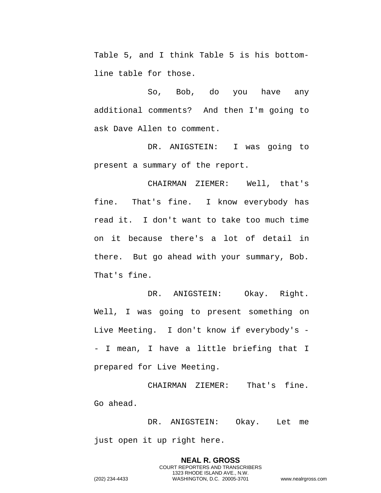Table 5, and I think Table 5 is his bottomline table for those.

So, Bob, do you have any additional comments? And then I'm going to ask Dave Allen to comment.

DR. ANIGSTEIN: I was going to present a summary of the report.

CHAIRMAN ZIEMER: Well, that's fine. That's fine. I know everybody has read it. I don't want to take too much time on it because there's a lot of detail in there. But go ahead with your summary, Bob. That's fine.

DR. ANIGSTEIN: Okay. Right. Well, I was going to present something on Live Meeting. I don't know if everybody's - - I mean, I have a little briefing that I prepared for Live Meeting.

CHAIRMAN ZIEMER: That's fine. Go ahead.

DR. ANIGSTEIN: Okay. Let me just open it up right here.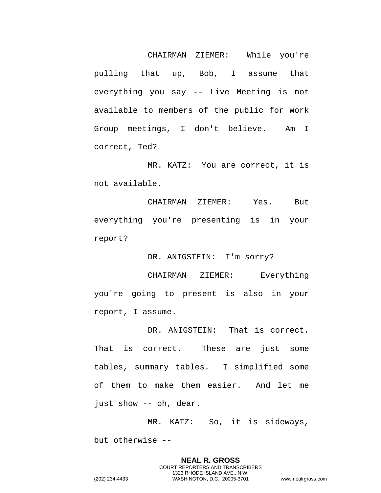CHAIRMAN ZIEMER: While you're pulling that up, Bob, I assume that everything you say -- Live Meeting is not available to members of the public for Work Group meetings, I don't believe. Am I correct, Ted?

MR. KATZ: You are correct, it is not available.

CHAIRMAN ZIEMER: Yes. But everything you're presenting is in your report?

DR. ANIGSTEIN: I'm sorry?

CHAIRMAN ZIEMER: Everything you're going to present is also in your report, I assume.

DR. ANIGSTEIN: That is correct. That is correct. These are just some tables, summary tables. I simplified some of them to make them easier. And let me just show -- oh, dear.

MR. KATZ: So, it is sideways, but otherwise --

> **NEAL R. GROSS** COURT REPORTERS AND TRANSCRIBERS 1323 RHODE ISLAND AVE., N.W.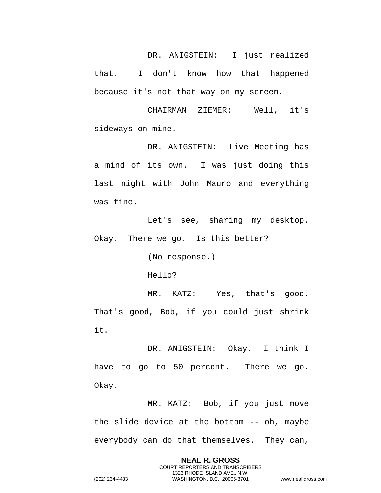DR. ANIGSTEIN: I just realized that. I don't know how that happened because it's not that way on my screen.

CHAIRMAN ZIEMER: Well, it's sideways on mine.

DR. ANIGSTEIN: Live Meeting has a mind of its own. I was just doing this last night with John Mauro and everything was fine.

Let's see, sharing my desktop. Okay. There we go. Is this better?

(No response.)

Hello?

MR. KATZ: Yes, that's good. That's good, Bob, if you could just shrink it.

DR. ANIGSTEIN: Okay. I think I have to go to 50 percent. There we go. Okay.

MR. KATZ: Bob, if you just move the slide device at the bottom -- oh, maybe everybody can do that themselves. They can,

> **NEAL R. GROSS** COURT REPORTERS AND TRANSCRIBERS 1323 RHODE ISLAND AVE., N.W.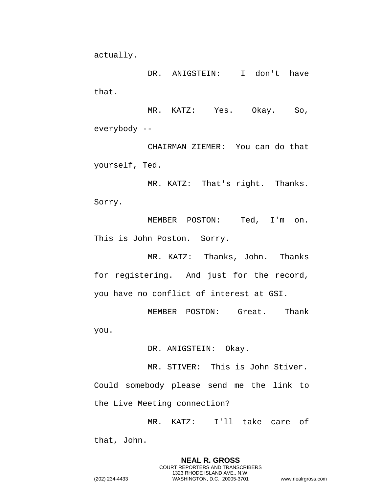actually.

DR. ANIGSTEIN: I don't have that.

MR. KATZ: Yes. Okay. So, everybody --

CHAIRMAN ZIEMER: You can do that yourself, Ted.

MR. KATZ: That's right. Thanks. Sorry.

MEMBER POSTON: Ted, I'm on. This is John Poston. Sorry.

MR. KATZ: Thanks, John. Thanks for registering. And just for the record, you have no conflict of interest at GSI.

MEMBER POSTON: Great. Thank you.

DR. ANIGSTEIN: Okay.

MR. STIVER: This is John Stiver. Could somebody please send me the link to the Live Meeting connection?

MR. KATZ: I'll take care of

that, John.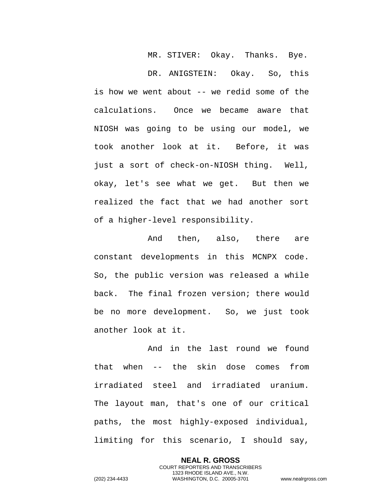MR. STIVER: Okay. Thanks. Bye.

DR. ANIGSTEIN: Okay. So, this is how we went about -- we redid some of the calculations. Once we became aware that NIOSH was going to be using our model, we took another look at it. Before, it was just a sort of check-on-NIOSH thing. Well, okay, let's see what we get. But then we realized the fact that we had another sort of a higher-level responsibility.

And then, also, there are constant developments in this MCNPX code. So, the public version was released a while back. The final frozen version; there would be no more development. So, we just took another look at it.

And in the last round we found that when -- the skin dose comes from irradiated steel and irradiated uranium. The layout man, that's one of our critical paths, the most highly-exposed individual, limiting for this scenario, I should say,

> **NEAL R. GROSS** COURT REPORTERS AND TRANSCRIBERS 1323 RHODE ISLAND AVE., N.W.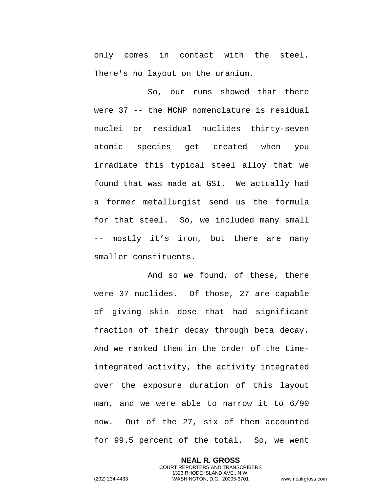only comes in contact with the steel. There's no layout on the uranium.

So, our runs showed that there were 37 -- the MCNP nomenclature is residual nuclei or residual nuclides thirty-seven atomic species get created when you irradiate this typical steel alloy that we found that was made at GSI. We actually had a former metallurgist send us the formula for that steel. So, we included many small -- mostly it's iron, but there are many smaller constituents.

And so we found, of these, there were 37 nuclides. Of those, 27 are capable of giving skin dose that had significant fraction of their decay through beta decay. And we ranked them in the order of the timeintegrated activity, the activity integrated over the exposure duration of this layout man, and we were able to narrow it to 6/90 now. Out of the 27, six of them accounted for 99.5 percent of the total. So, we went

> **NEAL R. GROSS** COURT REPORTERS AND TRANSCRIBERS

1323 RHODE ISLAND AVE., N.W. (202) 234-4433 WASHINGTON, D.C. 20005-3701 www.nealrgross.com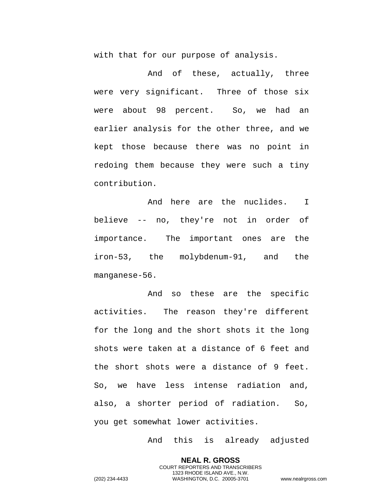with that for our purpose of analysis.

And of these, actually, three were very significant. Three of those six were about 98 percent. So, we had an earlier analysis for the other three, and we kept those because there was no point in redoing them because they were such a tiny contribution.

And here are the nuclides. I believe -- no, they're not in order of importance. The important ones are the iron-53, the molybdenum-91, and the manganese-56.

And so these are the specific activities. The reason they're different for the long and the short shots it the long shots were taken at a distance of 6 feet and the short shots were a distance of 9 feet. So, we have less intense radiation and, also, a shorter period of radiation. So, you get somewhat lower activities.

And this is already adjusted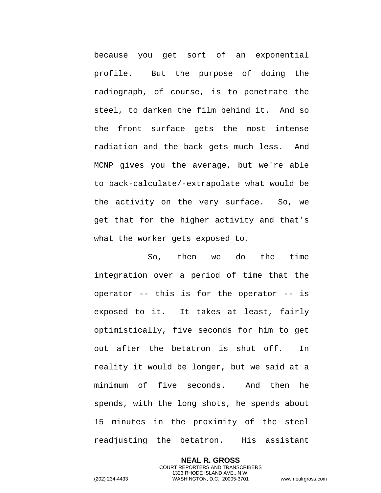because you get sort of an exponential profile. But the purpose of doing the radiograph, of course, is to penetrate the steel, to darken the film behind it. And so the front surface gets the most intense radiation and the back gets much less. And MCNP gives you the average, but we're able to back-calculate/-extrapolate what would be the activity on the very surface. So, we get that for the higher activity and that's what the worker gets exposed to.

So, then we do the time integration over a period of time that the operator -- this is for the operator -- is exposed to it. It takes at least, fairly optimistically, five seconds for him to get out after the betatron is shut off. In reality it would be longer, but we said at a minimum of five seconds. And then he spends, with the long shots, he spends about 15 minutes in the proximity of the steel readjusting the betatron. His assistant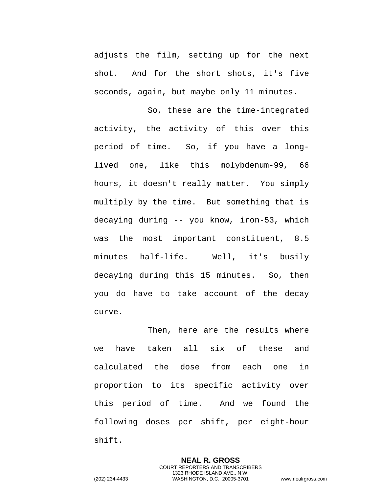adjusts the film, setting up for the next shot. And for the short shots, it's five seconds, again, but maybe only 11 minutes.

So, these are the time-integrated activity, the activity of this over this period of time. So, if you have a longlived one, like this molybdenum-99, 66 hours, it doesn't really matter. You simply multiply by the time. But something that is decaying during -- you know, iron-53, which was the most important constituent, 8.5 minutes half-life. Well, it's busily decaying during this 15 minutes. So, then you do have to take account of the decay curve.

Then, here are the results where we have taken all six of these and calculated the dose from each one in proportion to its specific activity over this period of time. And we found the following doses per shift, per eight-hour shift.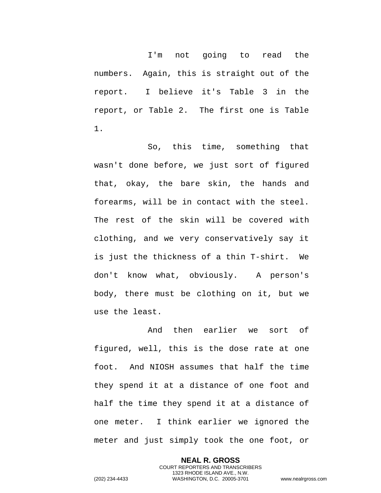I'm not going to read the numbers. Again, this is straight out of the report. I believe it's Table 3 in the report, or Table 2. The first one is Table 1.

So, this time, something that wasn't done before, we just sort of figured that, okay, the bare skin, the hands and forearms, will be in contact with the steel. The rest of the skin will be covered with clothing, and we very conservatively say it is just the thickness of a thin T-shirt. We don't know what, obviously. A person's body, there must be clothing on it, but we use the least.

And then earlier we sort of figured, well, this is the dose rate at one foot. And NIOSH assumes that half the time they spend it at a distance of one foot and half the time they spend it at a distance of one meter. I think earlier we ignored the meter and just simply took the one foot, or

> **NEAL R. GROSS** COURT REPORTERS AND TRANSCRIBERS 1323 RHODE ISLAND AVE., N.W.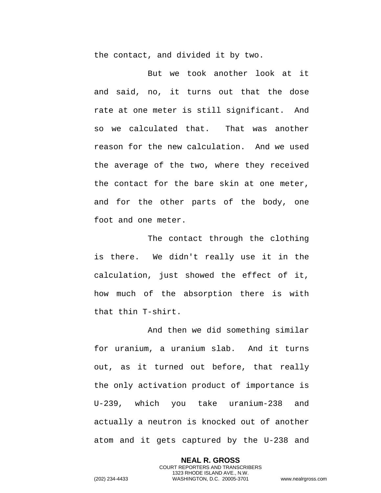the contact, and divided it by two.

But we took another look at it and said, no, it turns out that the dose rate at one meter is still significant. And so we calculated that. That was another reason for the new calculation. And we used the average of the two, where they received the contact for the bare skin at one meter, and for the other parts of the body, one foot and one meter.

The contact through the clothing is there. We didn't really use it in the calculation, just showed the effect of it, how much of the absorption there is with that thin T-shirt.

And then we did something similar for uranium, a uranium slab. And it turns out, as it turned out before, that really the only activation product of importance is U-239, which you take uranium-238 and actually a neutron is knocked out of another atom and it gets captured by the U-238 and

> **NEAL R. GROSS** COURT REPORTERS AND TRANSCRIBERS 1323 RHODE ISLAND AVE., N.W.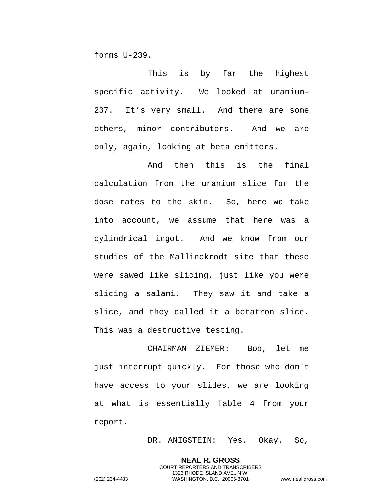forms U-239.

This is by far the highest specific activity. We looked at uranium-237. It's very small. And there are some others, minor contributors. And we are only, again, looking at beta emitters.

And then this is the final calculation from the uranium slice for the dose rates to the skin. So, here we take into account, we assume that here was a cylindrical ingot. And we know from our studies of the Mallinckrodt site that these were sawed like slicing, just like you were slicing a salami. They saw it and take a slice, and they called it a betatron slice. This was a destructive testing.

CHAIRMAN ZIEMER: Bob, let me just interrupt quickly. For those who don't have access to your slides, we are looking at what is essentially Table 4 from your report.

DR. ANIGSTEIN: Yes. Okay. So,

**NEAL R. GROSS** COURT REPORTERS AND TRANSCRIBERS 1323 RHODE ISLAND AVE., N.W.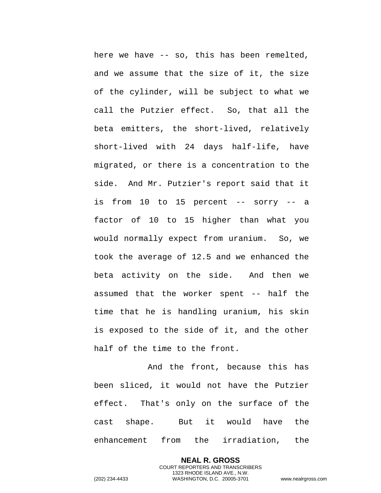here we have -- so, this has been remelted, and we assume that the size of it, the size of the cylinder, will be subject to what we call the Putzier effect. So, that all the beta emitters, the short-lived, relatively short-lived with 24 days half-life, have migrated, or there is a concentration to the side. And Mr. Putzier's report said that it is from 10 to 15 percent -- sorry -- a factor of 10 to 15 higher than what you would normally expect from uranium. So, we took the average of 12.5 and we enhanced the beta activity on the side. And then we assumed that the worker spent -- half the time that he is handling uranium, his skin is exposed to the side of it, and the other half of the time to the front.

And the front, because this has been sliced, it would not have the Putzier effect. That's only on the surface of the cast shape. But it would have the enhancement from the irradiation, the

> **NEAL R. GROSS** COURT REPORTERS AND TRANSCRIBERS 1323 RHODE ISLAND AVE., N.W.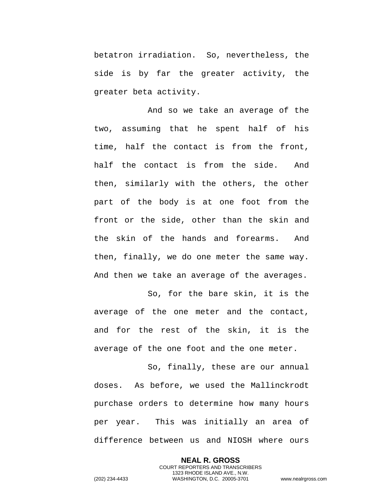betatron irradiation. So, nevertheless, the side is by far the greater activity, the greater beta activity.

And so we take an average of the two, assuming that he spent half of his time, half the contact is from the front, half the contact is from the side. And then, similarly with the others, the other part of the body is at one foot from the front or the side, other than the skin and the skin of the hands and forearms. And then, finally, we do one meter the same way. And then we take an average of the averages.

So, for the bare skin, it is the average of the one meter and the contact, and for the rest of the skin, it is the average of the one foot and the one meter.

So, finally, these are our annual doses. As before, we used the Mallinckrodt purchase orders to determine how many hours per year. This was initially an area of difference between us and NIOSH where ours

> **NEAL R. GROSS** COURT REPORTERS AND TRANSCRIBERS 1323 RHODE ISLAND AVE., N.W.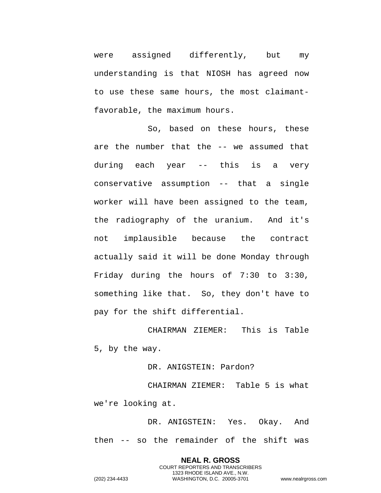were assigned differently, but my understanding is that NIOSH has agreed now to use these same hours, the most claimantfavorable, the maximum hours.

So, based on these hours, these are the number that the -- we assumed that during each year -- this is a very conservative assumption -- that a single worker will have been assigned to the team, the radiography of the uranium. And it's not implausible because the contract actually said it will be done Monday through Friday during the hours of 7:30 to 3:30, something like that. So, they don't have to pay for the shift differential.

CHAIRMAN ZIEMER: This is Table 5, by the way.

DR. ANIGSTEIN: Pardon?

CHAIRMAN ZIEMER: Table 5 is what we're looking at.

DR. ANIGSTEIN: Yes. Okay. And then -- so the remainder of the shift was

> **NEAL R. GROSS** COURT REPORTERS AND TRANSCRIBERS 1323 RHODE ISLAND AVE., N.W.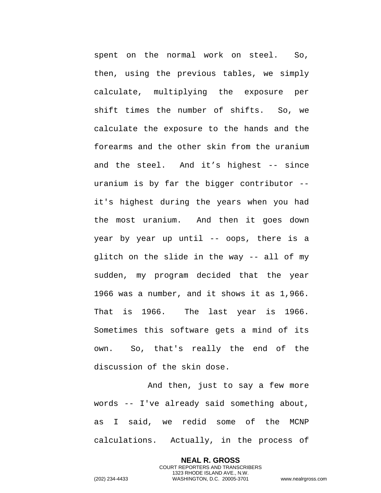spent on the normal work on steel. So, then, using the previous tables, we simply calculate, multiplying the exposure per shift times the number of shifts. So, we calculate the exposure to the hands and the forearms and the other skin from the uranium and the steel. And it's highest -- since uranium is by far the bigger contributor - it's highest during the years when you had the most uranium. And then it goes down year by year up until -- oops, there is a glitch on the slide in the way -- all of my sudden, my program decided that the year 1966 was a number, and it shows it as 1,966. That is 1966. The last year is 1966. Sometimes this software gets a mind of its own. So, that's really the end of the discussion of the skin dose.

And then, just to say a few more words -- I've already said something about, as I said, we redid some of the MCNP calculations. Actually, in the process of

> **NEAL R. GROSS** COURT REPORTERS AND TRANSCRIBERS 1323 RHODE ISLAND AVE., N.W.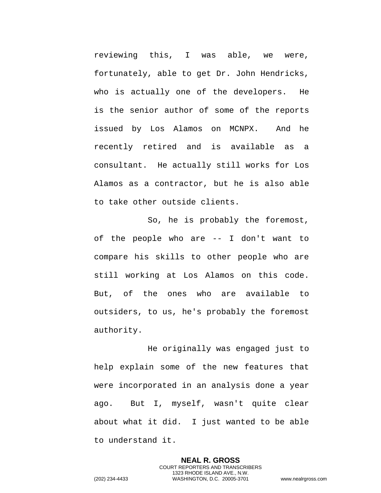reviewing this, I was able, we were, fortunately, able to get Dr. John Hendricks, who is actually one of the developers. He is the senior author of some of the reports issued by Los Alamos on MCNPX. And he recently retired and is available as a consultant. He actually still works for Los Alamos as a contractor, but he is also able to take other outside clients.

So, he is probably the foremost, of the people who are -- I don't want to compare his skills to other people who are still working at Los Alamos on this code. But, of the ones who are available to outsiders, to us, he's probably the foremost authority.

He originally was engaged just to help explain some of the new features that were incorporated in an analysis done a year ago. But I, myself, wasn't quite clear about what it did. I just wanted to be able to understand it.

> **NEAL R. GROSS** COURT REPORTERS AND TRANSCRIBERS 1323 RHODE ISLAND AVE., N.W.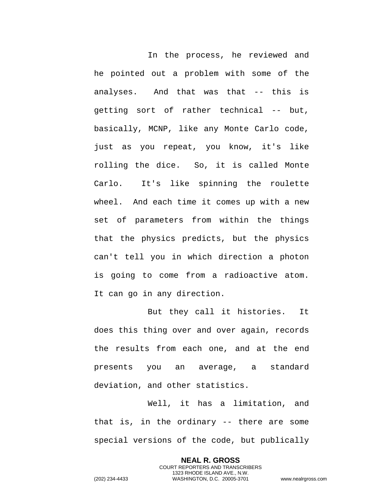In the process, he reviewed and he pointed out a problem with some of the analyses. And that was that -- this is getting sort of rather technical -- but, basically, MCNP, like any Monte Carlo code, just as you repeat, you know, it's like rolling the dice. So, it is called Monte Carlo. It's like spinning the roulette wheel. And each time it comes up with a new set of parameters from within the things that the physics predicts, but the physics can't tell you in which direction a photon is going to come from a radioactive atom. It can go in any direction.

But they call it histories. It does this thing over and over again, records the results from each one, and at the end presents you an average, a standard deviation, and other statistics.

Well, it has a limitation, and that is, in the ordinary -- there are some special versions of the code, but publically

> **NEAL R. GROSS** COURT REPORTERS AND TRANSCRIBERS 1323 RHODE ISLAND AVE., N.W.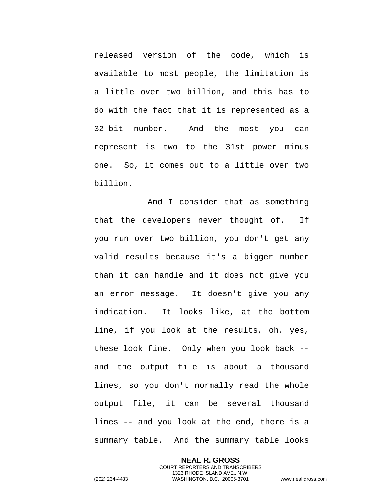released version of the code, which is available to most people, the limitation is a little over two billion, and this has to do with the fact that it is represented as a 32-bit number. And the most you can represent is two to the 31st power minus one. So, it comes out to a little over two billion.

And I consider that as something that the developers never thought of. If you run over two billion, you don't get any valid results because it's a bigger number than it can handle and it does not give you an error message. It doesn't give you any indication. It looks like, at the bottom line, if you look at the results, oh, yes, these look fine. Only when you look back - and the output file is about a thousand lines, so you don't normally read the whole output file, it can be several thousand lines -- and you look at the end, there is a summary table. And the summary table looks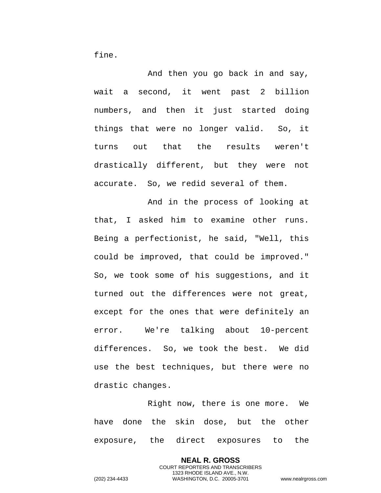fine.

And then you go back in and say, wait a second, it went past 2 billion numbers, and then it just started doing things that were no longer valid. So, it turns out that the results weren't drastically different, but they were not accurate. So, we redid several of them.

And in the process of looking at that, I asked him to examine other runs. Being a perfectionist, he said, "Well, this could be improved, that could be improved." So, we took some of his suggestions, and it turned out the differences were not great, except for the ones that were definitely an error. We're talking about 10-percent differences. So, we took the best. We did use the best techniques, but there were no drastic changes.

Right now, there is one more. We have done the skin dose, but the other exposure, the direct exposures to the

> **NEAL R. GROSS** COURT REPORTERS AND TRANSCRIBERS 1323 RHODE ISLAND AVE., N.W.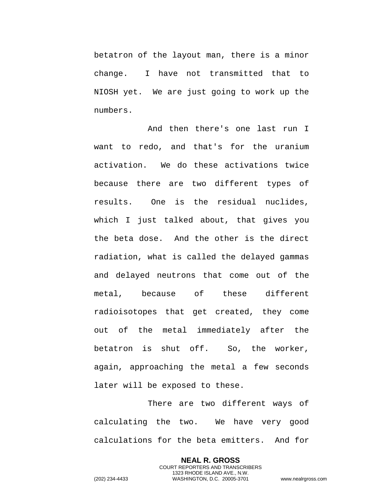betatron of the layout man, there is a minor change. I have not transmitted that to NIOSH yet. We are just going to work up the numbers.

And then there's one last run I want to redo, and that's for the uranium activation. We do these activations twice because there are two different types of results. One is the residual nuclides, which I just talked about, that gives you the beta dose. And the other is the direct radiation, what is called the delayed gammas and delayed neutrons that come out of the metal, because of these different radioisotopes that get created, they come out of the metal immediately after the betatron is shut off. So, the worker, again, approaching the metal a few seconds later will be exposed to these.

There are two different ways of calculating the two. We have very good calculations for the beta emitters. And for

> **NEAL R. GROSS** COURT REPORTERS AND TRANSCRIBERS 1323 RHODE ISLAND AVE., N.W.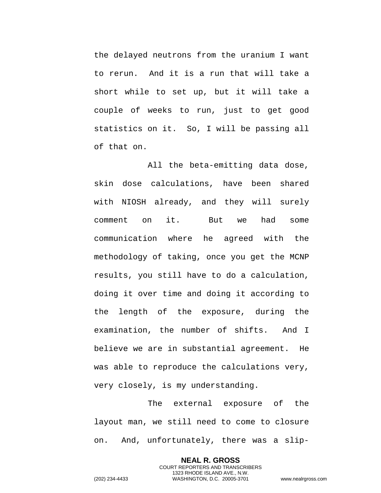the delayed neutrons from the uranium I want to rerun. And it is a run that will take a short while to set up, but it will take a couple of weeks to run, just to get good statistics on it. So, I will be passing all of that on.

All the beta-emitting data dose, skin dose calculations, have been shared with NIOSH already, and they will surely comment on it. But we had some communication where he agreed with the methodology of taking, once you get the MCNP results, you still have to do a calculation, doing it over time and doing it according to the length of the exposure, during the examination, the number of shifts. And I believe we are in substantial agreement. He was able to reproduce the calculations very, very closely, is my understanding.

The external exposure of the layout man, we still need to come to closure on. And, unfortunately, there was a slip-

> **NEAL R. GROSS** COURT REPORTERS AND TRANSCRIBERS 1323 RHODE ISLAND AVE., N.W.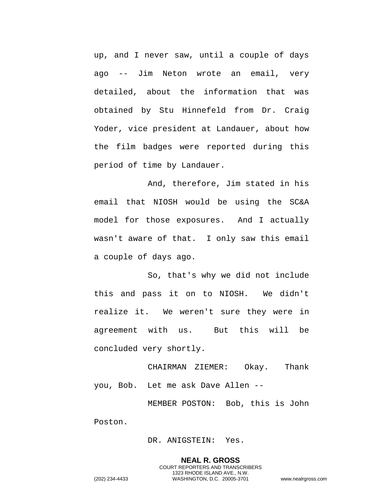up, and I never saw, until a couple of days ago -- Jim Neton wrote an email, very detailed, about the information that was obtained by Stu Hinnefeld from Dr. Craig Yoder, vice president at Landauer, about how the film badges were reported during this period of time by Landauer.

And, therefore, Jim stated in his email that NIOSH would be using the SC&A model for those exposures. And I actually wasn't aware of that. I only saw this email a couple of days ago.

So, that's why we did not include this and pass it on to NIOSH. We didn't realize it. We weren't sure they were in agreement with us. But this will be concluded very shortly.

CHAIRMAN ZIEMER: Okay. Thank you, Bob. Let me ask Dave Allen --

MEMBER POSTON: Bob, this is John Poston.

DR. ANIGSTEIN: Yes.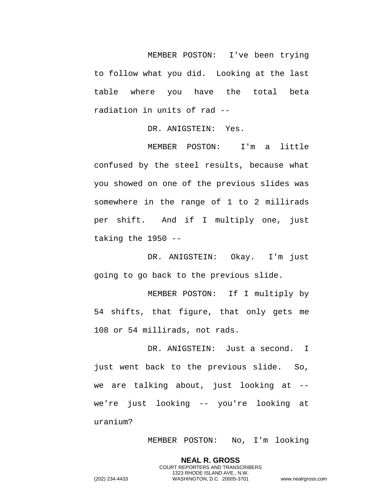MEMBER POSTON: I've been trying to follow what you did. Looking at the last table where you have the total beta radiation in units of rad --

DR. ANIGSTEIN: Yes.

MEMBER POSTON: I'm a little confused by the steel results, because what you showed on one of the previous slides was somewhere in the range of 1 to 2 millirads per shift. And if I multiply one, just taking the 1950 --

DR. ANIGSTEIN: Okay. I'm just going to go back to the previous slide.

MEMBER POSTON: If I multiply by 54 shifts, that figure, that only gets me 108 or 54 millirads, not rads.

DR. ANIGSTEIN: Just a second. I just went back to the previous slide. So, we are talking about, just looking at - we're just looking -- you're looking at uranium?

MEMBER POSTON: No, I'm looking

**NEAL R. GROSS** COURT REPORTERS AND TRANSCRIBERS

1323 RHODE ISLAND AVE., N.W. (202) 234-4433 WASHINGTON, D.C. 20005-3701 www.nealrgross.com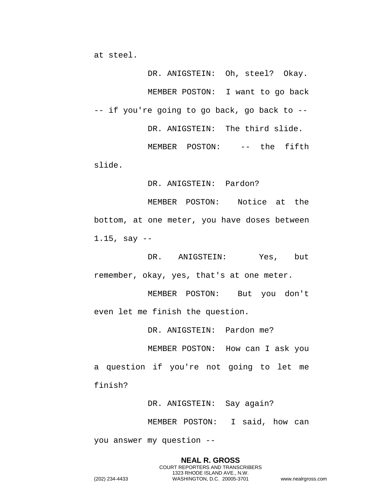at steel.

DR. ANIGSTEIN: Oh, steel? Okay. MEMBER POSTON: I want to go back -- if you're going to go back, go back to -- DR. ANIGSTEIN: The third slide. MEMBER POSTON: -- the fifth

slide.

DR. ANIGSTEIN: Pardon?

MEMBER POSTON: Notice at the bottom, at one meter, you have doses between 1.15, say --

DR. ANIGSTEIN: Yes, but remember, okay, yes, that's at one meter.

MEMBER POSTON: But you don't even let me finish the question.

DR. ANIGSTEIN: Pardon me?

MEMBER POSTON: How can I ask you a question if you're not going to let me finish?

DR. ANIGSTEIN: Say again?

MEMBER POSTON: I said, how can

you answer my question --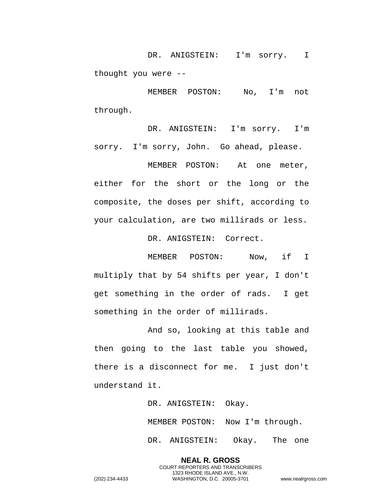DR. ANIGSTEIN: I'm sorry. I thought you were --

MEMBER POSTON: No, I'm not through.

DR. ANIGSTEIN: I'm sorry. I'm sorry. I'm sorry, John. Go ahead, please.

MEMBER POSTON: At one meter, either for the short or the long or the composite, the doses per shift, according to your calculation, are two millirads or less.

DR. ANIGSTEIN: Correct.

MEMBER POSTON: Now, if I multiply that by 54 shifts per year, I don't get something in the order of rads. I get something in the order of millirads.

And so, looking at this table and then going to the last table you showed, there is a disconnect for me. I just don't understand it.

DR. ANIGSTEIN: Okay.

MEMBER POSTON: Now I'm through.

DR. ANIGSTEIN: Okay. The one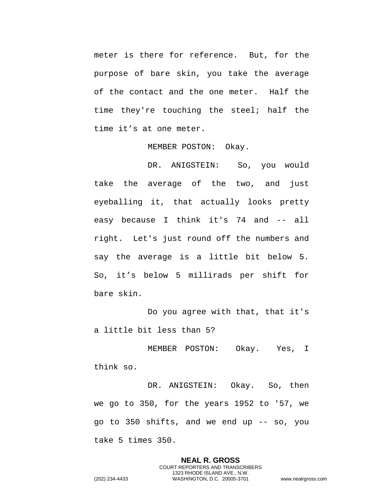meter is there for reference. But, for the purpose of bare skin, you take the average of the contact and the one meter. Half the time they're touching the steel; half the time it's at one meter.

MEMBER POSTON: Okay.

DR. ANIGSTEIN: So, you would take the average of the two, and just eyeballing it, that actually looks pretty easy because I think it's 74 and -- all right. Let's just round off the numbers and say the average is a little bit below 5. So, it's below 5 millirads per shift for bare skin.

Do you agree with that, that it's a little bit less than 5?

MEMBER POSTON: Okay. Yes, I think so.

DR. ANIGSTEIN: Okay. So, then we go to 350, for the years 1952 to '57, we go to 350 shifts, and we end up -- so, you take 5 times 350.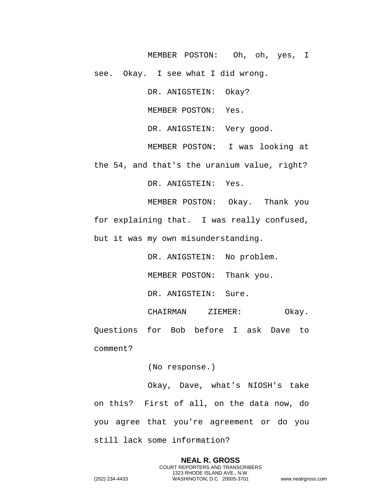MEMBER POSTON: Oh, oh, yes, I see. Okay. I see what I did wrong.

DR. ANIGSTEIN: Okay?

MEMBER POSTON: Yes.

DR. ANIGSTEIN: Very good.

MEMBER POSTON: I was looking at the 54, and that's the uranium value, right?

DR. ANIGSTEIN: Yes.

MEMBER POSTON: Okay. Thank you for explaining that. I was really confused, but it was my own misunderstanding.

> DR. ANIGSTEIN: No problem. MEMBER POSTON: Thank you.

DR. ANIGSTEIN: Sure.

CHAIRMAN ZIEMER: Okay. Questions for Bob before I ask Dave to comment?

(No response.)

Okay, Dave, what's NIOSH's take on this? First of all, on the data now, do you agree that you're agreement or do you still lack some information?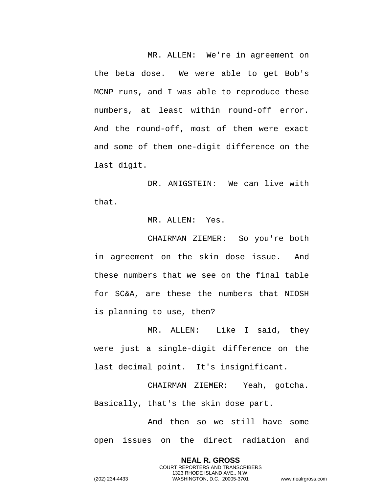MR. ALLEN: We're in agreement on the beta dose. We were able to get Bob's MCNP runs, and I was able to reproduce these numbers, at least within round-off error. And the round-off, most of them were exact and some of them one-digit difference on the last digit.

DR. ANIGSTEIN: We can live with that.

## MR. ALLEN: Yes.

CHAIRMAN ZIEMER: So you're both in agreement on the skin dose issue. And these numbers that we see on the final table for SC&A, are these the numbers that NIOSH is planning to use, then?

MR. ALLEN: Like I said, they were just a single-digit difference on the last decimal point. It's insignificant.

CHAIRMAN ZIEMER: Yeah, gotcha. Basically, that's the skin dose part.

And then so we still have some open issues on the direct radiation and

> **NEAL R. GROSS** COURT REPORTERS AND TRANSCRIBERS 1323 RHODE ISLAND AVE., N.W.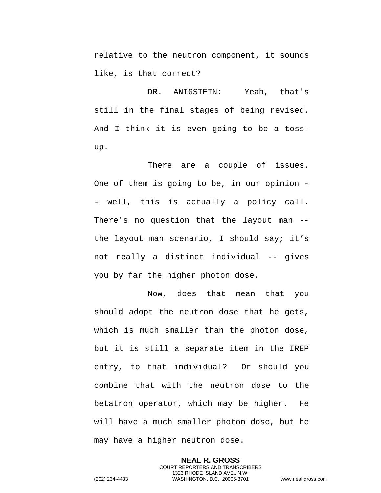relative to the neutron component, it sounds like, is that correct?

DR. ANIGSTEIN: Yeah, that's still in the final stages of being revised. And I think it is even going to be a tossup.

There are a couple of issues. One of them is going to be, in our opinion - - well, this is actually a policy call. There's no question that the layout man - the layout man scenario, I should say; it's not really a distinct individual -- gives you by far the higher photon dose.

Now, does that mean that you should adopt the neutron dose that he gets, which is much smaller than the photon dose, but it is still a separate item in the IREP entry, to that individual? Or should you combine that with the neutron dose to the betatron operator, which may be higher. He will have a much smaller photon dose, but he may have a higher neutron dose.

**NEAL R. GROSS** COURT REPORTERS AND TRANSCRIBERS 1323 RHODE ISLAND AVE., N.W. (202) 234-4433 WASHINGTON, D.C. 20005-3701 www.nealrgross.com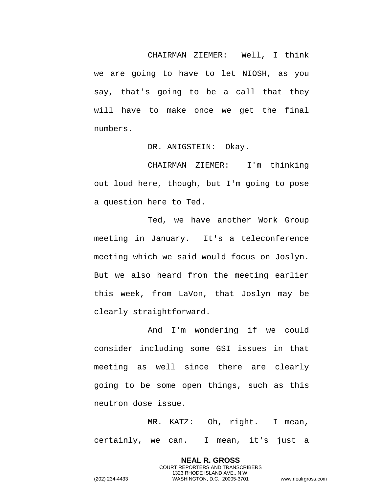CHAIRMAN ZIEMER: Well, I think we are going to have to let NIOSH, as you say, that's going to be a call that they will have to make once we get the final numbers.

DR. ANIGSTEIN: Okay.

CHAIRMAN ZIEMER: I'm thinking out loud here, though, but I'm going to pose a question here to Ted.

Ted, we have another Work Group meeting in January. It's a teleconference meeting which we said would focus on Joslyn. But we also heard from the meeting earlier this week, from LaVon, that Joslyn may be clearly straightforward.

And I'm wondering if we could consider including some GSI issues in that meeting as well since there are clearly going to be some open things, such as this neutron dose issue.

MR. KATZ: Oh, right. I mean, certainly, we can. I mean, it's just a

> **NEAL R. GROSS** COURT REPORTERS AND TRANSCRIBERS 1323 RHODE ISLAND AVE., N.W.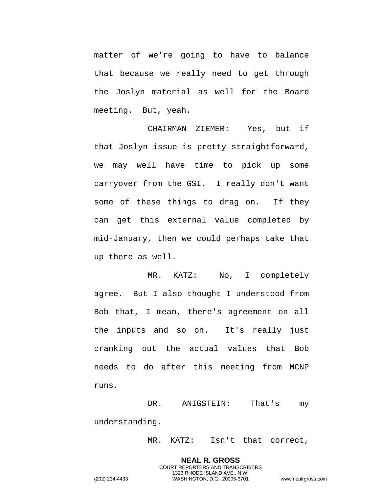matter of we're going to have to balance that because we really need to get through the Joslyn material as well for the Board meeting. But, yeah.

CHAIRMAN ZIEMER: Yes, but if that Joslyn issue is pretty straightforward, we may well have time to pick up some carryover from the GSI. I really don't want some of these things to drag on. If they can get this external value completed by mid-January, then we could perhaps take that up there as well.

MR. KATZ: No, I completely agree. But I also thought I understood from Bob that, I mean, there's agreement on all the inputs and so on. It's really just cranking out the actual values that Bob needs to do after this meeting from MCNP runs.

DR. ANIGSTEIN: That's my understanding.

MR. KATZ: Isn't that correct,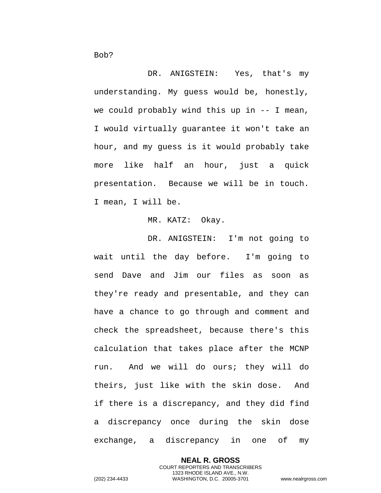DR. ANIGSTEIN: Yes, that's my understanding. My guess would be, honestly, we could probably wind this up in -- I mean, I would virtually guarantee it won't take an hour, and my guess is it would probably take more like half an hour, just a quick presentation. Because we will be in touch. I mean, I will be.

## MR. KATZ: Okay.

DR. ANIGSTEIN: I'm not going to wait until the day before. I'm going to send Dave and Jim our files as soon as they're ready and presentable, and they can have a chance to go through and comment and check the spreadsheet, because there's this calculation that takes place after the MCNP run. And we will do ours; they will do theirs, just like with the skin dose. And if there is a discrepancy, and they did find a discrepancy once during the skin dose exchange, a discrepancy in one of my

> **NEAL R. GROSS** COURT REPORTERS AND TRANSCRIBERS 1323 RHODE ISLAND AVE., N.W.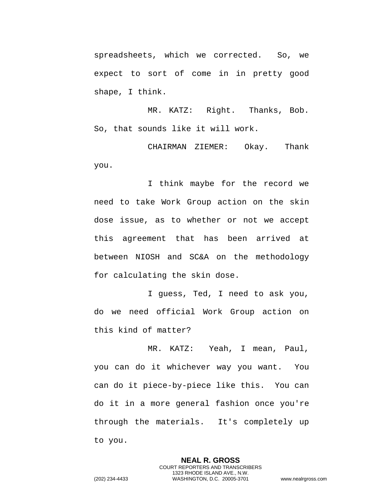spreadsheets, which we corrected. So, we expect to sort of come in in pretty good shape, I think.

MR. KATZ: Right. Thanks, Bob. So, that sounds like it will work.

CHAIRMAN ZIEMER: Okay. Thank you.

I think maybe for the record we need to take Work Group action on the skin dose issue, as to whether or not we accept this agreement that has been arrived at between NIOSH and SC&A on the methodology for calculating the skin dose.

I guess, Ted, I need to ask you, do we need official Work Group action on this kind of matter?

MR. KATZ: Yeah, I mean, Paul, you can do it whichever way you want. You can do it piece-by-piece like this. You can do it in a more general fashion once you're through the materials. It's completely up to you.

> **NEAL R. GROSS** COURT REPORTERS AND TRANSCRIBERS 1323 RHODE ISLAND AVE., N.W.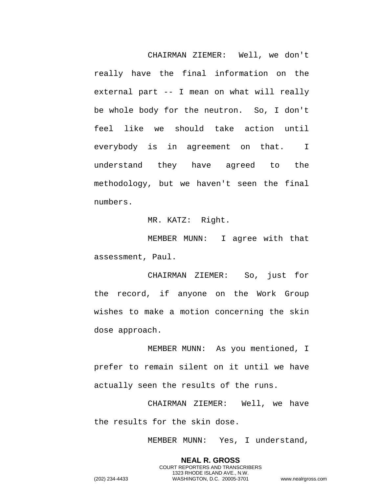CHAIRMAN ZIEMER: Well, we don't really have the final information on the external part -- I mean on what will really be whole body for the neutron. So, I don't feel like we should take action until everybody is in agreement on that. I understand they have agreed to the methodology, but we haven't seen the final numbers.

MR. KATZ: Right.

MEMBER MUNN: I agree with that assessment, Paul.

CHAIRMAN ZIEMER: So, just for the record, if anyone on the Work Group wishes to make a motion concerning the skin dose approach.

MEMBER MUNN: As you mentioned, I prefer to remain silent on it until we have actually seen the results of the runs.

CHAIRMAN ZIEMER: Well, we have the results for the skin dose.

MEMBER MUNN: Yes, I understand,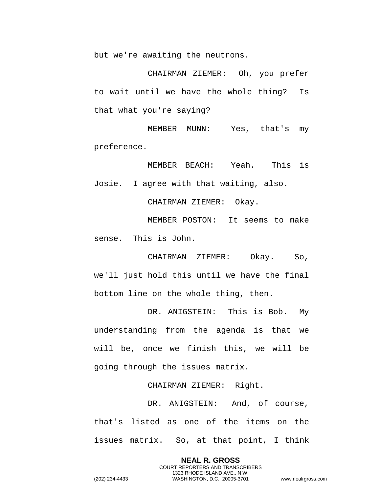but we're awaiting the neutrons.

CHAIRMAN ZIEMER: Oh, you prefer to wait until we have the whole thing? Is that what you're saying?

MEMBER MUNN: Yes, that's my preference.

MEMBER BEACH: Yeah. This is Josie. I agree with that waiting, also.

CHAIRMAN ZIEMER: Okay.

MEMBER POSTON: It seems to make sense. This is John.

CHAIRMAN ZIEMER: Okay. So, we'll just hold this until we have the final bottom line on the whole thing, then.

DR. ANIGSTEIN: This is Bob. My understanding from the agenda is that we will be, once we finish this, we will be going through the issues matrix.

CHAIRMAN ZIEMER: Right.

DR. ANIGSTEIN: And, of course, that's listed as one of the items on the issues matrix. So, at that point, I think

> **NEAL R. GROSS** COURT REPORTERS AND TRANSCRIBERS 1323 RHODE ISLAND AVE., N.W.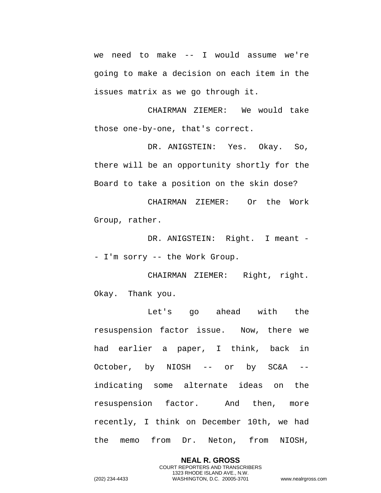we need to make -- I would assume we're going to make a decision on each item in the issues matrix as we go through it.

CHAIRMAN ZIEMER: We would take those one-by-one, that's correct.

DR. ANIGSTEIN: Yes. Okay. So, there will be an opportunity shortly for the Board to take a position on the skin dose?

CHAIRMAN ZIEMER: Or the Work Group, rather.

DR. ANIGSTEIN: Right. I meant -- I'm sorry -- the Work Group.

CHAIRMAN ZIEMER: Right, right. Okay. Thank you.

Let's go ahead with the resuspension factor issue. Now, there we had earlier a paper, I think, back in October, by NIOSH -- or by SC&A - indicating some alternate ideas on the resuspension factor. And then, more recently, I think on December 10th, we had the memo from Dr. Neton, from NIOSH,

> **NEAL R. GROSS** COURT REPORTERS AND TRANSCRIBERS 1323 RHODE ISLAND AVE., N.W.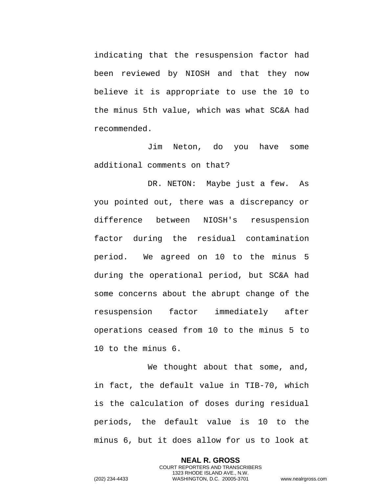indicating that the resuspension factor had been reviewed by NIOSH and that they now believe it is appropriate to use the 10 to the minus 5th value, which was what SC&A had recommended.

Jim Neton, do you have some additional comments on that?

DR. NETON: Maybe just a few. As you pointed out, there was a discrepancy or difference between NIOSH's resuspension factor during the residual contamination period. We agreed on 10 to the minus 5 during the operational period, but SC&A had some concerns about the abrupt change of the resuspension factor immediately after operations ceased from 10 to the minus 5 to 10 to the minus 6.

We thought about that some, and, in fact, the default value in TIB-70, which is the calculation of doses during residual periods, the default value is 10 to the minus 6, but it does allow for us to look at

> **NEAL R. GROSS** COURT REPORTERS AND TRANSCRIBERS 1323 RHODE ISLAND AVE., N.W.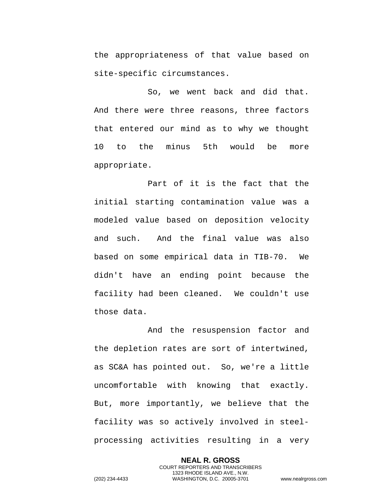the appropriateness of that value based on site-specific circumstances.

So, we went back and did that. And there were three reasons, three factors that entered our mind as to why we thought 10 to the minus 5th would be more appropriate.

Part of it is the fact that the initial starting contamination value was a modeled value based on deposition velocity and such. And the final value was also based on some empirical data in TIB-70. We didn't have an ending point because the facility had been cleaned. We couldn't use those data.

And the resuspension factor and the depletion rates are sort of intertwined, as SC&A has pointed out. So, we're a little uncomfortable with knowing that exactly. But, more importantly, we believe that the facility was so actively involved in steelprocessing activities resulting in a very

**NEAL R. GROSS** COURT REPORTERS AND TRANSCRIBERS 1323 RHODE ISLAND AVE., N.W. (202) 234-4433 WASHINGTON, D.C. 20005-3701 www.nealrgross.com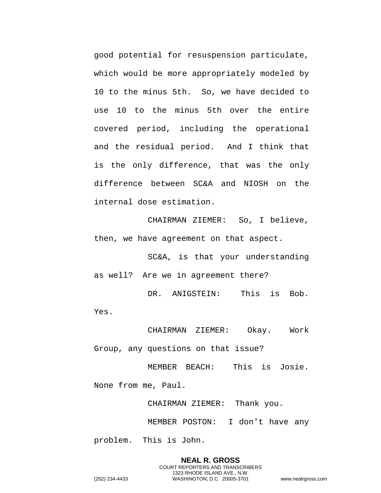good potential for resuspension particulate, which would be more appropriately modeled by 10 to the minus 5th. So, we have decided to use 10 to the minus 5th over the entire covered period, including the operational and the residual period. And I think that is the only difference, that was the only difference between SC&A and NIOSH on the internal dose estimation.

CHAIRMAN ZIEMER: So, I believe, then, we have agreement on that aspect.

SC&A, is that your understanding as well? Are we in agreement there?

DR. ANIGSTEIN: This is Bob. Yes.

CHAIRMAN ZIEMER: Okay. Work Group, any questions on that issue?

MEMBER BEACH: This is Josie. None from me, Paul.

CHAIRMAN ZIEMER: Thank you.

MEMBER POSTON: I don't have any

problem. This is John.

**NEAL R. GROSS** COURT REPORTERS AND TRANSCRIBERS 1323 RHODE ISLAND AVE., N.W. (202) 234-4433 WASHINGTON, D.C. 20005-3701 www.nealrgross.com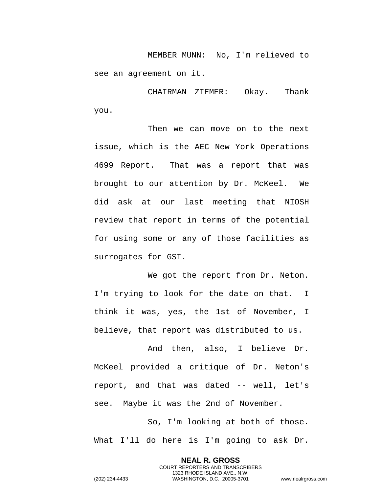MEMBER MUNN: No, I'm relieved to see an agreement on it.

CHAIRMAN ZIEMER: Okay. Thank you.

Then we can move on to the next issue, which is the AEC New York Operations 4699 Report. That was a report that was brought to our attention by Dr. McKeel. We did ask at our last meeting that NIOSH review that report in terms of the potential for using some or any of those facilities as surrogates for GSI.

We got the report from Dr. Neton. I'm trying to look for the date on that. I think it was, yes, the 1st of November, I believe, that report was distributed to us.

And then, also, I believe Dr. McKeel provided a critique of Dr. Neton's report, and that was dated -- well, let's see. Maybe it was the 2nd of November.

So, I'm looking at both of those. What I'll do here is I'm going to ask Dr.

> **NEAL R. GROSS** COURT REPORTERS AND TRANSCRIBERS 1323 RHODE ISLAND AVE., N.W.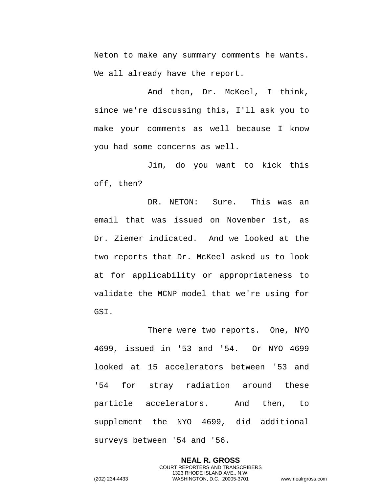Neton to make any summary comments he wants. We all already have the report.

And then, Dr. McKeel, I think, since we're discussing this, I'll ask you to make your comments as well because I know you had some concerns as well.

Jim, do you want to kick this off, then?

DR. NETON: Sure. This was an email that was issued on November 1st, as Dr. Ziemer indicated. And we looked at the two reports that Dr. McKeel asked us to look at for applicability or appropriateness to validate the MCNP model that we're using for GSI.

There were two reports. One, NYO 4699, issued in '53 and '54. Or NYO 4699 looked at 15 accelerators between '53 and '54 for stray radiation around these particle accelerators. And then, to supplement the NYO 4699, did additional surveys between '54 and '56.

**NEAL R. GROSS** COURT REPORTERS AND TRANSCRIBERS 1323 RHODE ISLAND AVE., N.W. (202) 234-4433 WASHINGTON, D.C. 20005-3701 www.nealrgross.com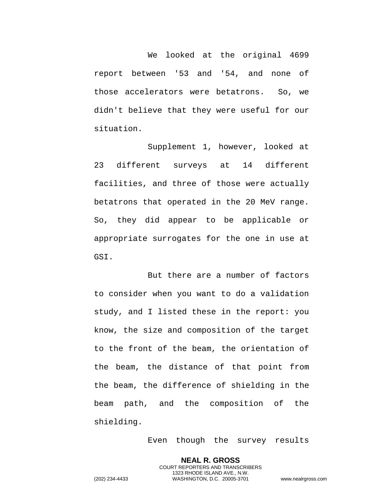We looked at the original 4699 report between '53 and '54, and none of those accelerators were betatrons. So, we didn't believe that they were useful for our situation.

Supplement 1, however, looked at 23 different surveys at 14 different facilities, and three of those were actually betatrons that operated in the 20 MeV range. So, they did appear to be applicable or appropriate surrogates for the one in use at GSI.

But there are a number of factors to consider when you want to do a validation study, and I listed these in the report: you know, the size and composition of the target to the front of the beam, the orientation of the beam, the distance of that point from the beam, the difference of shielding in the beam path, and the composition of the shielding.

Even though the survey results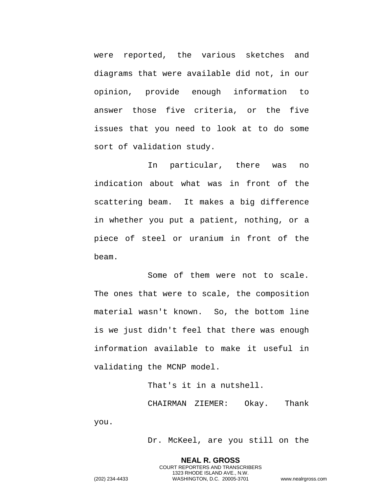were reported, the various sketches and diagrams that were available did not, in our opinion, provide enough information to answer those five criteria, or the five issues that you need to look at to do some sort of validation study.

In particular, there was no indication about what was in front of the scattering beam. It makes a big difference in whether you put a patient, nothing, or a piece of steel or uranium in front of the beam.

Some of them were not to scale. The ones that were to scale, the composition material wasn't known. So, the bottom line is we just didn't feel that there was enough information available to make it useful in validating the MCNP model.

> That's it in a nutshell. CHAIRMAN ZIEMER: Okay. Thank

> > Dr. McKeel, are you still on the

**NEAL R. GROSS** COURT REPORTERS AND TRANSCRIBERS 1323 RHODE ISLAND AVE., N.W. (202) 234-4433 WASHINGTON, D.C. 20005-3701 www.nealrgross.com

you.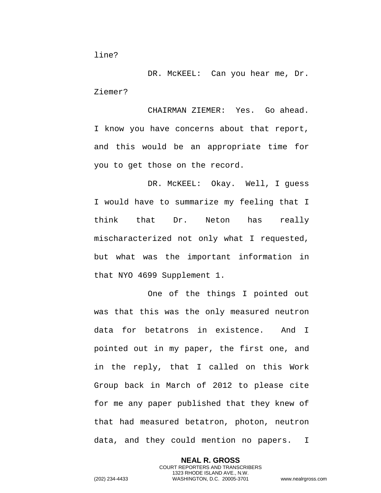DR. McKEEL: Can you hear me, Dr. Ziemer?

CHAIRMAN ZIEMER: Yes. Go ahead. I know you have concerns about that report, and this would be an appropriate time for you to get those on the record.

DR. McKEEL: Okay. Well, I guess I would have to summarize my feeling that I think that Dr. Neton has really mischaracterized not only what I requested, but what was the important information in that NYO 4699 Supplement 1.

One of the things I pointed out was that this was the only measured neutron data for betatrons in existence. And I pointed out in my paper, the first one, and in the reply, that I called on this Work Group back in March of 2012 to please cite for me any paper published that they knew of that had measured betatron, photon, neutron data, and they could mention no papers. I

> **NEAL R. GROSS** COURT REPORTERS AND TRANSCRIBERS 1323 RHODE ISLAND AVE., N.W.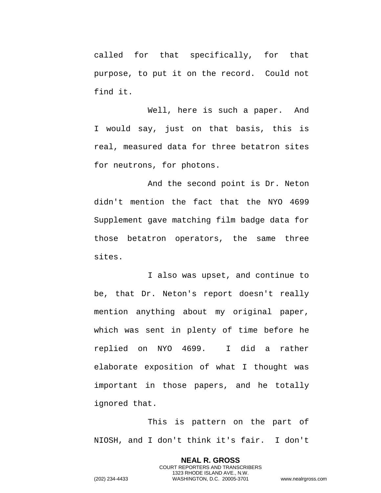called for that specifically, for that purpose, to put it on the record. Could not find it.

Well, here is such a paper. And I would say, just on that basis, this is real, measured data for three betatron sites for neutrons, for photons.

And the second point is Dr. Neton didn't mention the fact that the NYO 4699 Supplement gave matching film badge data for those betatron operators, the same three sites.

I also was upset, and continue to be, that Dr. Neton's report doesn't really mention anything about my original paper, which was sent in plenty of time before he replied on NYO 4699. I did a rather elaborate exposition of what I thought was important in those papers, and he totally ignored that.

This is pattern on the part of NIOSH, and I don't think it's fair. I don't

> **NEAL R. GROSS** COURT REPORTERS AND TRANSCRIBERS 1323 RHODE ISLAND AVE., N.W.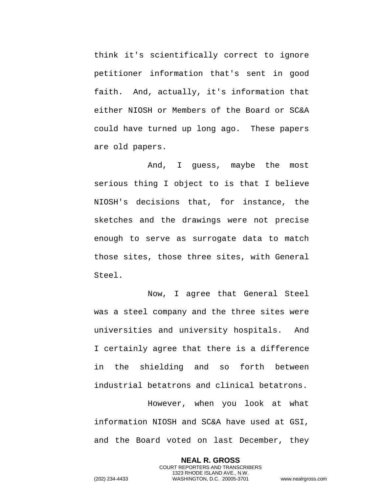think it's scientifically correct to ignore petitioner information that's sent in good faith. And, actually, it's information that either NIOSH or Members of the Board or SC&A could have turned up long ago. These papers are old papers.

And, I guess, maybe the most serious thing I object to is that I believe NIOSH's decisions that, for instance, the sketches and the drawings were not precise enough to serve as surrogate data to match those sites, those three sites, with General Steel.

Now, I agree that General Steel was a steel company and the three sites were universities and university hospitals. And I certainly agree that there is a difference in the shielding and so forth between industrial betatrons and clinical betatrons.

However, when you look at what information NIOSH and SC&A have used at GSI, and the Board voted on last December, they

> **NEAL R. GROSS** COURT REPORTERS AND TRANSCRIBERS 1323 RHODE ISLAND AVE., N.W.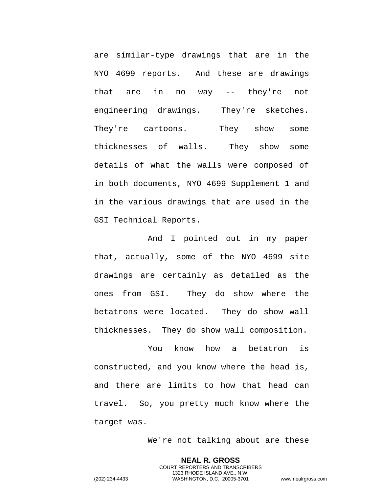are similar-type drawings that are in the NYO 4699 reports. And these are drawings that are in no way -- they're not engineering drawings. They're sketches. They're cartoons. They show some thicknesses of walls. They show some details of what the walls were composed of in both documents, NYO 4699 Supplement 1 and in the various drawings that are used in the GSI Technical Reports.

And I pointed out in my paper that, actually, some of the NYO 4699 site drawings are certainly as detailed as the ones from GSI. They do show where the betatrons were located. They do show wall thicknesses. They do show wall composition.

You know how a betatron is constructed, and you know where the head is, and there are limits to how that head can travel. So, you pretty much know where the target was.

We're not talking about are these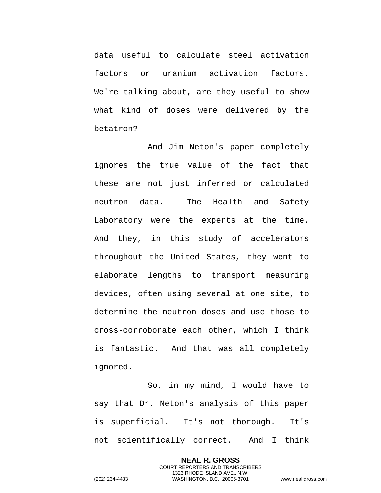data useful to calculate steel activation factors or uranium activation factors. We're talking about, are they useful to show what kind of doses were delivered by the betatron?

And Jim Neton's paper completely ignores the true value of the fact that these are not just inferred or calculated neutron data. The Health and Safety Laboratory were the experts at the time. And they, in this study of accelerators throughout the United States, they went to elaborate lengths to transport measuring devices, often using several at one site, to determine the neutron doses and use those to cross-corroborate each other, which I think is fantastic. And that was all completely ignored.

So, in my mind, I would have to say that Dr. Neton's analysis of this paper is superficial. It's not thorough. It's not scientifically correct. And I think

> **NEAL R. GROSS** COURT REPORTERS AND TRANSCRIBERS 1323 RHODE ISLAND AVE., N.W.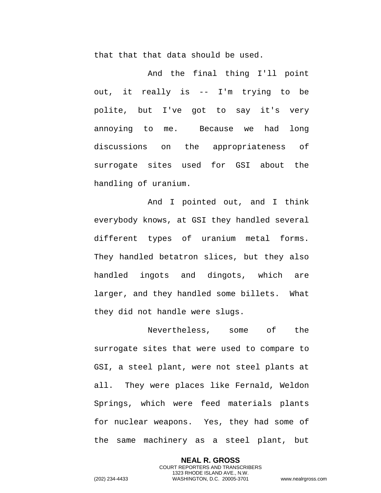that that that data should be used.

And the final thing I'll point out, it really is -- I'm trying to be polite, but I've got to say it's very annoying to me. Because we had long discussions on the appropriateness of surrogate sites used for GSI about the handling of uranium.

And I pointed out, and I think everybody knows, at GSI they handled several different types of uranium metal forms. They handled betatron slices, but they also handled ingots and dingots, which are larger, and they handled some billets. What they did not handle were slugs.

Nevertheless, some of the surrogate sites that were used to compare to GSI, a steel plant, were not steel plants at all. They were places like Fernald, Weldon Springs, which were feed materials plants for nuclear weapons. Yes, they had some of the same machinery as a steel plant, but

> **NEAL R. GROSS** COURT REPORTERS AND TRANSCRIBERS 1323 RHODE ISLAND AVE., N.W.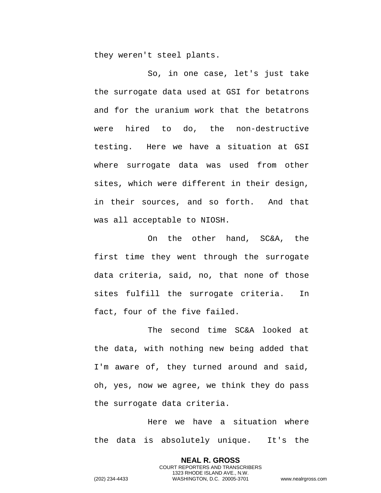they weren't steel plants.

So, in one case, let's just take the surrogate data used at GSI for betatrons and for the uranium work that the betatrons were hired to do, the non-destructive testing. Here we have a situation at GSI where surrogate data was used from other sites, which were different in their design, in their sources, and so forth. And that was all acceptable to NIOSH.

On the other hand, SC&A, the first time they went through the surrogate data criteria, said, no, that none of those sites fulfill the surrogate criteria. In fact, four of the five failed.

The second time SC&A looked at the data, with nothing new being added that I'm aware of, they turned around and said, oh, yes, now we agree, we think they do pass the surrogate data criteria.

Here we have a situation where the data is absolutely unique. It's the

> **NEAL R. GROSS** COURT REPORTERS AND TRANSCRIBERS 1323 RHODE ISLAND AVE., N.W.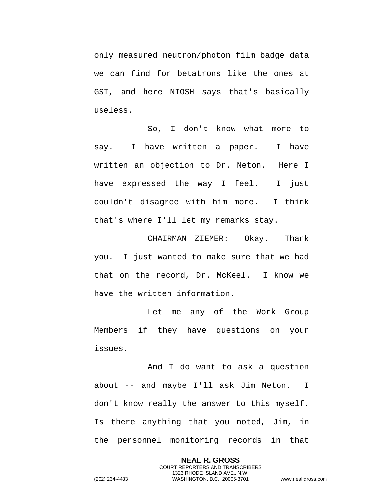only measured neutron/photon film badge data we can find for betatrons like the ones at GSI, and here NIOSH says that's basically useless.

So, I don't know what more to say. I have written a paper. I have written an objection to Dr. Neton. Here I have expressed the way I feel. I just couldn't disagree with him more. I think that's where I'll let my remarks stay.

CHAIRMAN ZIEMER: Okay. Thank you. I just wanted to make sure that we had that on the record, Dr. McKeel. I know we have the written information.

Let me any of the Work Group Members if they have questions on your issues.

And I do want to ask a question about -- and maybe I'll ask Jim Neton. I don't know really the answer to this myself. Is there anything that you noted, Jim, in the personnel monitoring records in that

> **NEAL R. GROSS** COURT REPORTERS AND TRANSCRIBERS 1323 RHODE ISLAND AVE., N.W.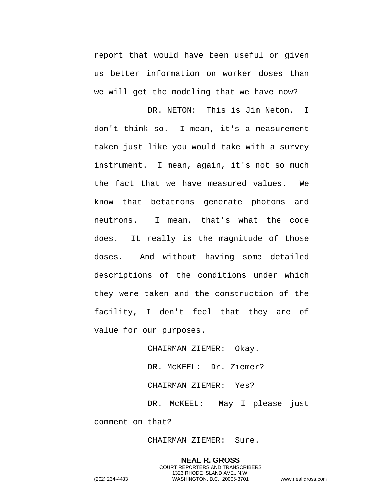report that would have been useful or given us better information on worker doses than we will get the modeling that we have now?

DR. NETON: This is Jim Neton. I don't think so. I mean, it's a measurement taken just like you would take with a survey instrument. I mean, again, it's not so much the fact that we have measured values. We know that betatrons generate photons and neutrons. I mean, that's what the code does. It really is the magnitude of those doses. And without having some detailed descriptions of the conditions under which they were taken and the construction of the facility, I don't feel that they are of value for our purposes.

CHAIRMAN ZIEMER: Okay.

DR. McKEEL: Dr. Ziemer?

CHAIRMAN ZIEMER: Yes?

DR. McKEEL: May I please just comment on that?

CHAIRMAN ZIEMER: Sure.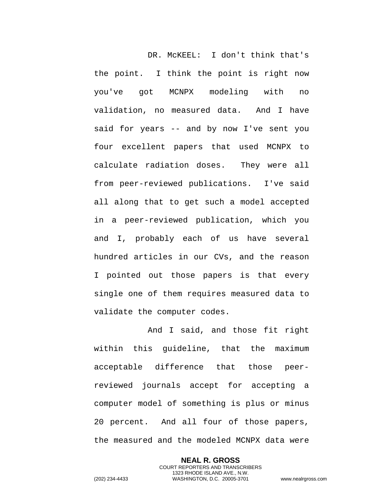DR. McKEEL: I don't think that's the point. I think the point is right now you've got MCNPX modeling with no validation, no measured data. And I have said for years -- and by now I've sent you four excellent papers that used MCNPX to calculate radiation doses. They were all from peer-reviewed publications. I've said all along that to get such a model accepted in a peer-reviewed publication, which you and I, probably each of us have several hundred articles in our CVs, and the reason I pointed out those papers is that every single one of them requires measured data to validate the computer codes.

And I said, and those fit right within this guideline, that the maximum acceptable difference that those peerreviewed journals accept for accepting a computer model of something is plus or minus 20 percent. And all four of those papers, the measured and the modeled MCNPX data were

> **NEAL R. GROSS** COURT REPORTERS AND TRANSCRIBERS 1323 RHODE ISLAND AVE., N.W.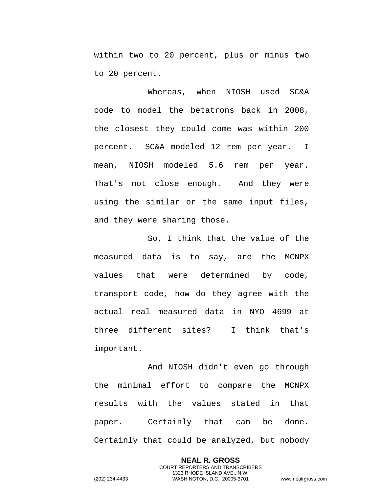within two to 20 percent, plus or minus two to 20 percent.

Whereas, when NIOSH used SC&A code to model the betatrons back in 2008, the closest they could come was within 200 percent. SC&A modeled 12 rem per year. I mean, NIOSH modeled 5.6 rem per year. That's not close enough. And they were using the similar or the same input files, and they were sharing those.

So, I think that the value of the measured data is to say, are the MCNPX values that were determined by code, transport code, how do they agree with the actual real measured data in NYO 4699 at three different sites? I think that's important.

And NIOSH didn't even go through the minimal effort to compare the MCNPX results with the values stated in that paper. Certainly that can be done. Certainly that could be analyzed, but nobody

> **NEAL R. GROSS** COURT REPORTERS AND TRANSCRIBERS 1323 RHODE ISLAND AVE., N.W.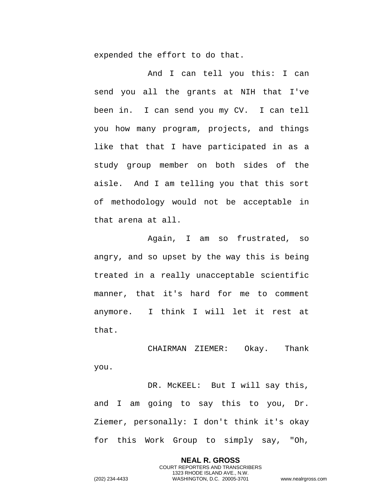expended the effort to do that.

And I can tell you this: I can send you all the grants at NIH that I've been in. I can send you my CV. I can tell you how many program, projects, and things like that that I have participated in as a study group member on both sides of the aisle. And I am telling you that this sort of methodology would not be acceptable in that arena at all.

Again, I am so frustrated, so angry, and so upset by the way this is being treated in a really unacceptable scientific manner, that it's hard for me to comment anymore. I think I will let it rest at that.

CHAIRMAN ZIEMER: Okay. Thank you.

DR. MCKEEL: But I will say this, and I am going to say this to you, Dr. Ziemer, personally: I don't think it's okay for this Work Group to simply say, "Oh,

> **NEAL R. GROSS** COURT REPORTERS AND TRANSCRIBERS 1323 RHODE ISLAND AVE., N.W.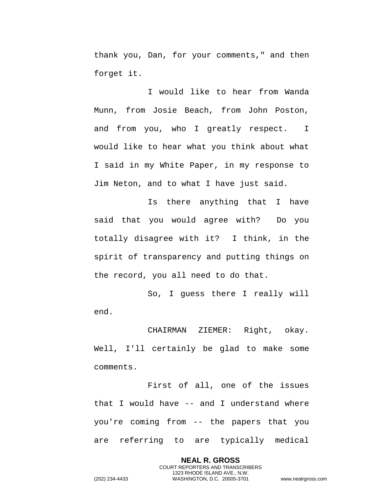thank you, Dan, for your comments," and then forget it.

I would like to hear from Wanda Munn, from Josie Beach, from John Poston, and from you, who I greatly respect. I would like to hear what you think about what I said in my White Paper, in my response to Jim Neton, and to what I have just said.

Is there anything that I have said that you would agree with? Do you totally disagree with it? I think, in the spirit of transparency and putting things on the record, you all need to do that.

So, I guess there I really will end.

CHAIRMAN ZIEMER: Right, okay. Well, I'll certainly be glad to make some comments.

First of all, one of the issues that I would have -- and I understand where you're coming from -- the papers that you are referring to are typically medical

> **NEAL R. GROSS** COURT REPORTERS AND TRANSCRIBERS 1323 RHODE ISLAND AVE., N.W.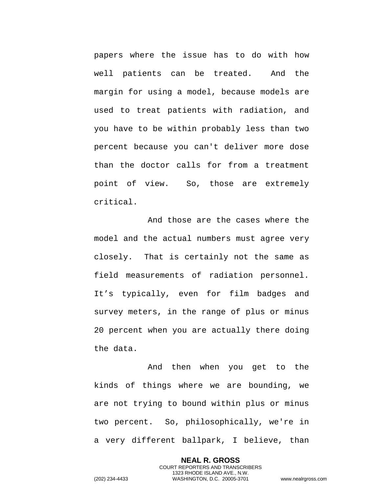papers where the issue has to do with how well patients can be treated. And the margin for using a model, because models are used to treat patients with radiation, and you have to be within probably less than two percent because you can't deliver more dose than the doctor calls for from a treatment point of view. So, those are extremely critical.

And those are the cases where the model and the actual numbers must agree very closely. That is certainly not the same as field measurements of radiation personnel. It's typically, even for film badges and survey meters, in the range of plus or minus 20 percent when you are actually there doing the data.

And then when you get to the kinds of things where we are bounding, we are not trying to bound within plus or minus two percent. So, philosophically, we're in a very different ballpark, I believe, than

> **NEAL R. GROSS** COURT REPORTERS AND TRANSCRIBERS 1323 RHODE ISLAND AVE., N.W.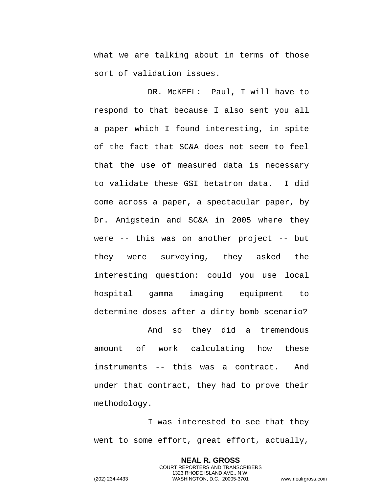what we are talking about in terms of those sort of validation issues.

DR. McKEEL: Paul, I will have to respond to that because I also sent you all a paper which I found interesting, in spite of the fact that SC&A does not seem to feel that the use of measured data is necessary to validate these GSI betatron data. I did come across a paper, a spectacular paper, by Dr. Anigstein and SC&A in 2005 where they were -- this was on another project -- but they were surveying, they asked the interesting question: could you use local hospital gamma imaging equipment to determine doses after a dirty bomb scenario?

And so they did a tremendous amount of work calculating how these instruments -- this was a contract. And under that contract, they had to prove their methodology.

I was interested to see that they went to some effort, great effort, actually,

> **NEAL R. GROSS** COURT REPORTERS AND TRANSCRIBERS 1323 RHODE ISLAND AVE., N.W.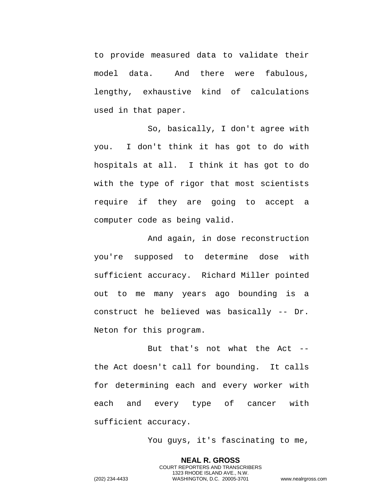to provide measured data to validate their model data. And there were fabulous, lengthy, exhaustive kind of calculations used in that paper.

So, basically, I don't agree with you. I don't think it has got to do with hospitals at all. I think it has got to do with the type of rigor that most scientists require if they are going to accept a computer code as being valid.

And again, in dose reconstruction you're supposed to determine dose with sufficient accuracy. Richard Miller pointed out to me many years ago bounding is a construct he believed was basically -- Dr. Neton for this program.

But that's not what the Act - the Act doesn't call for bounding. It calls for determining each and every worker with each and every type of cancer with sufficient accuracy.

You guys, it's fascinating to me,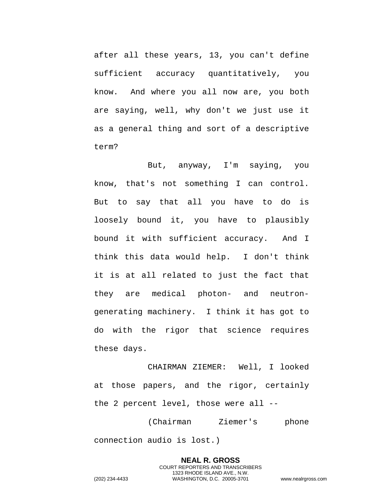after all these years, 13, you can't define sufficient accuracy quantitatively, you know. And where you all now are, you both are saying, well, why don't we just use it as a general thing and sort of a descriptive term?

But, anyway, I'm saying, you know, that's not something I can control. But to say that all you have to do is loosely bound it, you have to plausibly bound it with sufficient accuracy. And I think this data would help. I don't think it is at all related to just the fact that they are medical photon- and neutrongenerating machinery. I think it has got to do with the rigor that science requires these days.

CHAIRMAN ZIEMER: Well, I looked at those papers, and the rigor, certainly the 2 percent level, those were all --

(Chairman Ziemer's phone connection audio is lost.)

**NEAL R. GROSS** COURT REPORTERS AND TRANSCRIBERS 1323 RHODE ISLAND AVE., N.W. (202) 234-4433 WASHINGTON, D.C. 20005-3701 www.nealrgross.com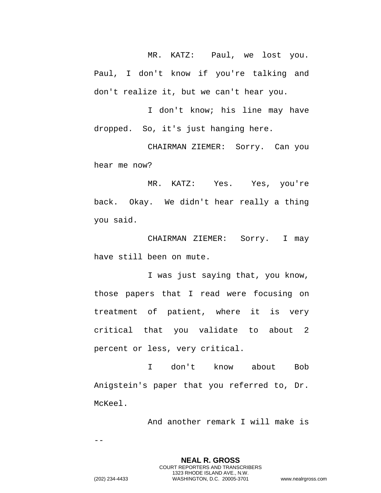MR. KATZ: Paul, we lost you. Paul, I don't know if you're talking and don't realize it, but we can't hear you.

I don't know; his line may have dropped. So, it's just hanging here.

CHAIRMAN ZIEMER: Sorry. Can you hear me now?

MR. KATZ: Yes. Yes, you're back. Okay. We didn't hear really a thing you said.

CHAIRMAN ZIEMER: Sorry. I may have still been on mute.

I was just saying that, you know, those papers that I read were focusing on treatment of patient, where it is very critical that you validate to about 2 percent or less, very critical.

I don't know about Bob Anigstein's paper that you referred to, Dr. McKeel.

And another remark I will make is

--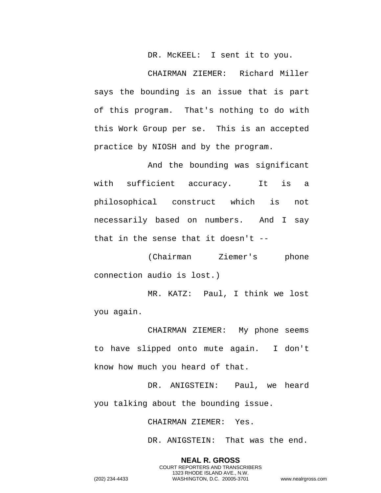DR. McKEEL: I sent it to you.

CHAIRMAN ZIEMER: Richard Miller says the bounding is an issue that is part of this program. That's nothing to do with this Work Group per se. This is an accepted practice by NIOSH and by the program.

And the bounding was significant with sufficient accuracy. It is a philosophical construct which is not necessarily based on numbers. And I say that in the sense that it doesn't --

(Chairman Ziemer's phone connection audio is lost.)

MR. KATZ: Paul, I think we lost you again.

CHAIRMAN ZIEMER: My phone seems to have slipped onto mute again. I don't know how much you heard of that.

DR. ANIGSTEIN: Paul, we heard you talking about the bounding issue.

CHAIRMAN ZIEMER: Yes.

DR. ANIGSTEIN: That was the end.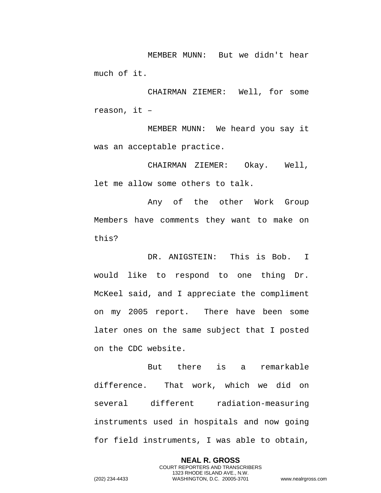MEMBER MUNN: But we didn't hear much of it.

CHAIRMAN ZIEMER: Well, for some reason, it –

MEMBER MUNN: We heard you say it was an acceptable practice.

CHAIRMAN ZIEMER: Okay. Well, let me allow some others to talk.

Any of the other Work Group Members have comments they want to make on this?

DR. ANIGSTEIN: This is Bob. I would like to respond to one thing Dr. McKeel said, and I appreciate the compliment on my 2005 report. There have been some later ones on the same subject that I posted on the CDC website.

But there is a remarkable difference. That work, which we did on several different radiation-measuring instruments used in hospitals and now going for field instruments, I was able to obtain,

> **NEAL R. GROSS** COURT REPORTERS AND TRANSCRIBERS 1323 RHODE ISLAND AVE., N.W.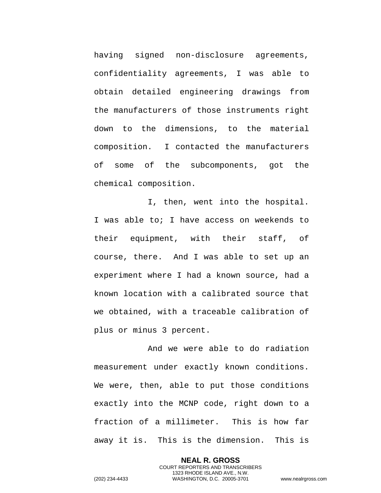having signed non-disclosure agreements, confidentiality agreements, I was able to obtain detailed engineering drawings from the manufacturers of those instruments right down to the dimensions, to the material composition. I contacted the manufacturers of some of the subcomponents, got the chemical composition.

I, then, went into the hospital. I was able to; I have access on weekends to their equipment, with their staff, of course, there. And I was able to set up an experiment where I had a known source, had a known location with a calibrated source that we obtained, with a traceable calibration of plus or minus 3 percent.

And we were able to do radiation measurement under exactly known conditions. We were, then, able to put those conditions exactly into the MCNP code, right down to a fraction of a millimeter. This is how far away it is. This is the dimension. This is

> **NEAL R. GROSS** COURT REPORTERS AND TRANSCRIBERS 1323 RHODE ISLAND AVE., N.W.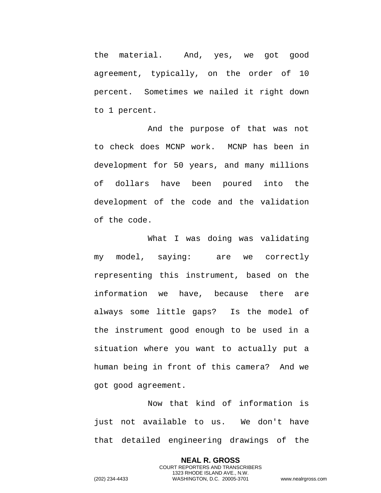the material. And, yes, we got good agreement, typically, on the order of 10 percent. Sometimes we nailed it right down to 1 percent.

And the purpose of that was not to check does MCNP work. MCNP has been in development for 50 years, and many millions of dollars have been poured into the development of the code and the validation of the code.

What I was doing was validating my model, saying: are we correctly representing this instrument, based on the information we have, because there are always some little gaps? Is the model of the instrument good enough to be used in a situation where you want to actually put a human being in front of this camera? And we got good agreement.

Now that kind of information is just not available to us. We don't have that detailed engineering drawings of the

> **NEAL R. GROSS** COURT REPORTERS AND TRANSCRIBERS 1323 RHODE ISLAND AVE., N.W.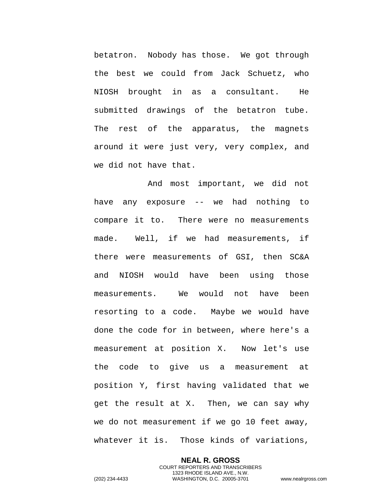betatron. Nobody has those. We got through the best we could from Jack Schuetz, who NIOSH brought in as a consultant. He submitted drawings of the betatron tube. The rest of the apparatus, the magnets around it were just very, very complex, and we did not have that.

And most important, we did not have any exposure -- we had nothing to compare it to. There were no measurements made. Well, if we had measurements, if there were measurements of GSI, then SC&A and NIOSH would have been using those measurements. We would not have been resorting to a code. Maybe we would have done the code for in between, where here's a measurement at position X. Now let's use the code to give us a measurement at position Y, first having validated that we get the result at X. Then, we can say why we do not measurement if we go 10 feet away, whatever it is. Those kinds of variations,

> **NEAL R. GROSS** COURT REPORTERS AND TRANSCRIBERS 1323 RHODE ISLAND AVE., N.W.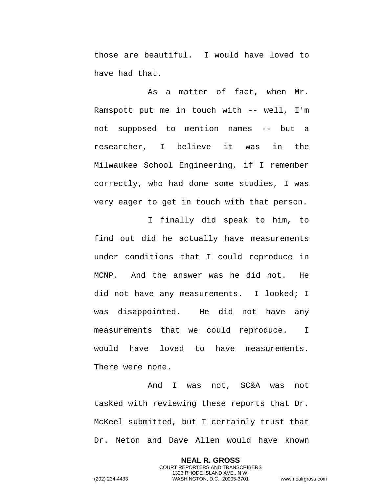those are beautiful. I would have loved to have had that.

As a matter of fact, when Mr. Ramspott put me in touch with -- well, I'm not supposed to mention names -- but a researcher, I believe it was in the Milwaukee School Engineering, if I remember correctly, who had done some studies, I was very eager to get in touch with that person.

I finally did speak to him, to find out did he actually have measurements under conditions that I could reproduce in MCNP. And the answer was he did not. He did not have any measurements. I looked; I was disappointed. He did not have any measurements that we could reproduce. I would have loved to have measurements. There were none.

And I was not, SC&A was not tasked with reviewing these reports that Dr. McKeel submitted, but I certainly trust that Dr. Neton and Dave Allen would have known

> **NEAL R. GROSS** COURT REPORTERS AND TRANSCRIBERS 1323 RHODE ISLAND AVE., N.W.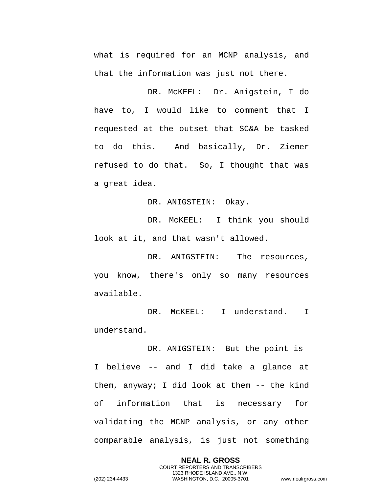what is required for an MCNP analysis, and that the information was just not there.

DR. McKEEL: Dr. Anigstein, I do have to, I would like to comment that I requested at the outset that SC&A be tasked to do this. And basically, Dr. Ziemer refused to do that. So, I thought that was a great idea.

DR. ANIGSTEIN: Okay.

DR. McKEEL: I think you should look at it, and that wasn't allowed.

DR. ANIGSTEIN: The resources, you know, there's only so many resources available.

DR. McKEEL: I understand. I understand.

DR. ANIGSTEIN: But the point is I believe -- and I did take a glance at them, anyway; I did look at them -- the kind of information that is necessary for validating the MCNP analysis, or any other comparable analysis, is just not something

> **NEAL R. GROSS** COURT REPORTERS AND TRANSCRIBERS 1323 RHODE ISLAND AVE., N.W.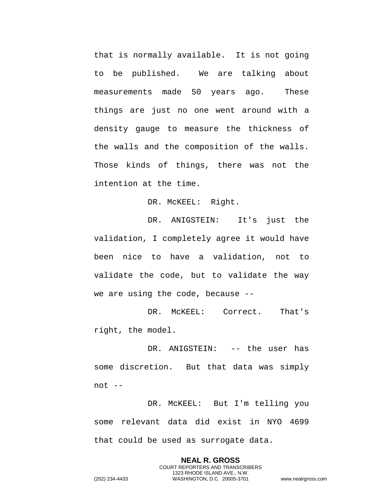that is normally available. It is not going to be published. We are talking about measurements made 50 years ago. These things are just no one went around with a density gauge to measure the thickness of the walls and the composition of the walls. Those kinds of things, there was not the intention at the time.

DR. MCKEEL: Right.

DR. ANIGSTEIN: It's just the validation, I completely agree it would have been nice to have a validation, not to validate the code, but to validate the way we are using the code, because --

DR. McKEEL: Correct. That's right, the model.

DR. ANIGSTEIN: -- the user has some discretion. But that data was simply not --

DR. McKEEL: But I'm telling you some relevant data did exist in NYO 4699 that could be used as surrogate data.

> **NEAL R. GROSS** COURT REPORTERS AND TRANSCRIBERS 1323 RHODE ISLAND AVE., N.W.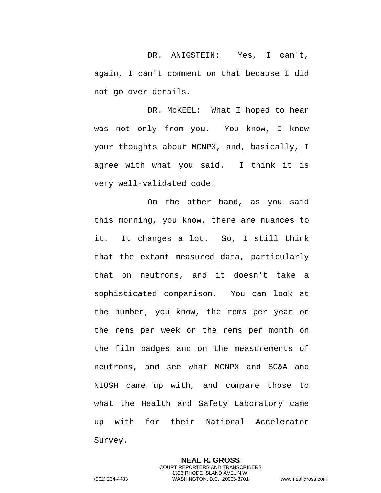DR. ANIGSTEIN: Yes, I can't, again, I can't comment on that because I did not go over details.

DR. McKEEL: What I hoped to hear was not only from you. You know, I know your thoughts about MCNPX, and, basically, I agree with what you said. I think it is very well-validated code.

On the other hand, as you said this morning, you know, there are nuances to it. It changes a lot. So, I still think that the extant measured data, particularly that on neutrons, and it doesn't take a sophisticated comparison. You can look at the number, you know, the rems per year or the rems per week or the rems per month on the film badges and on the measurements of neutrons, and see what MCNPX and SC&A and NIOSH came up with, and compare those to what the Health and Safety Laboratory came up with for their National Accelerator Survey.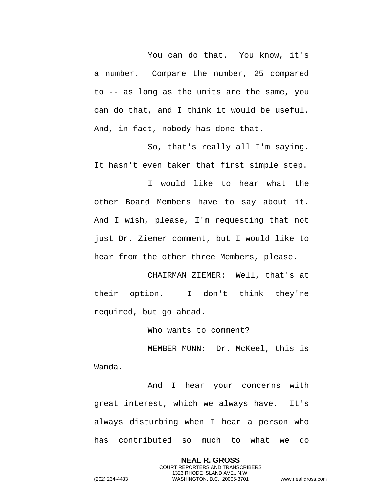You can do that. You know, it's a number. Compare the number, 25 compared to -- as long as the units are the same, you can do that, and I think it would be useful. And, in fact, nobody has done that.

So, that's really all I'm saying. It hasn't even taken that first simple step.

I would like to hear what the other Board Members have to say about it. And I wish, please, I'm requesting that not just Dr. Ziemer comment, but I would like to hear from the other three Members, please.

CHAIRMAN ZIEMER: Well, that's at their option. I don't think they're required, but go ahead.

Who wants to comment?

MEMBER MUNN: Dr. McKeel, this is Wanda.

And I hear your concerns with great interest, which we always have. It's always disturbing when I hear a person who has contributed so much to what we do

> **NEAL R. GROSS** COURT REPORTERS AND TRANSCRIBERS 1323 RHODE ISLAND AVE., N.W.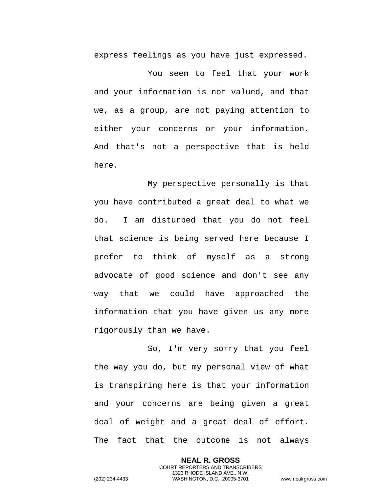express feelings as you have just expressed.

You seem to feel that your work and your information is not valued, and that we, as a group, are not paying attention to either your concerns or your information. And that's not a perspective that is held here.

My perspective personally is that you have contributed a great deal to what we do. I am disturbed that you do not feel that science is being served here because I prefer to think of myself as a strong advocate of good science and don't see any way that we could have approached the information that you have given us any more rigorously than we have.

So, I'm very sorry that you feel the way you do, but my personal view of what is transpiring here is that your information and your concerns are being given a great deal of weight and a great deal of effort. The fact that the outcome is not always

> **NEAL R. GROSS** COURT REPORTERS AND TRANSCRIBERS 1323 RHODE ISLAND AVE., N.W.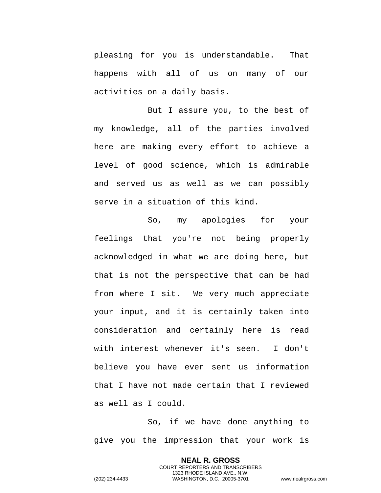pleasing for you is understandable. That happens with all of us on many of our activities on a daily basis.

But I assure you, to the best of my knowledge, all of the parties involved here are making every effort to achieve a level of good science, which is admirable and served us as well as we can possibly serve in a situation of this kind.

So, my apologies for your feelings that you're not being properly acknowledged in what we are doing here, but that is not the perspective that can be had from where I sit. We very much appreciate your input, and it is certainly taken into consideration and certainly here is read with interest whenever it's seen. I don't believe you have ever sent us information that I have not made certain that I reviewed as well as I could.

So, if we have done anything to give you the impression that your work is

> **NEAL R. GROSS** COURT REPORTERS AND TRANSCRIBERS 1323 RHODE ISLAND AVE., N.W.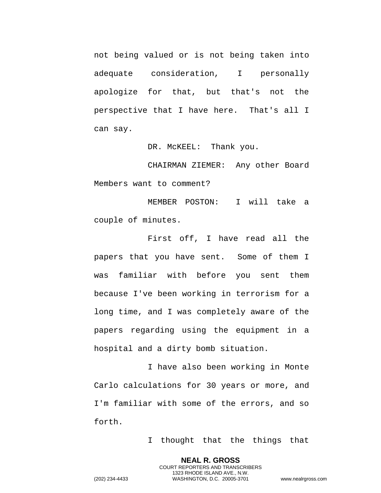not being valued or is not being taken into adequate consideration, I personally apologize for that, but that's not the perspective that I have here. That's all I can say.

DR. MCKEEL: Thank you.

CHAIRMAN ZIEMER: Any other Board Members want to comment?

MEMBER POSTON: I will take a couple of minutes.

First off, I have read all the papers that you have sent. Some of them I was familiar with before you sent them because I've been working in terrorism for a long time, and I was completely aware of the papers regarding using the equipment in a hospital and a dirty bomb situation.

I have also been working in Monte Carlo calculations for 30 years or more, and I'm familiar with some of the errors, and so forth.

> **NEAL R. GROSS** COURT REPORTERS AND TRANSCRIBERS 1323 RHODE ISLAND AVE., N.W.

I thought that the things that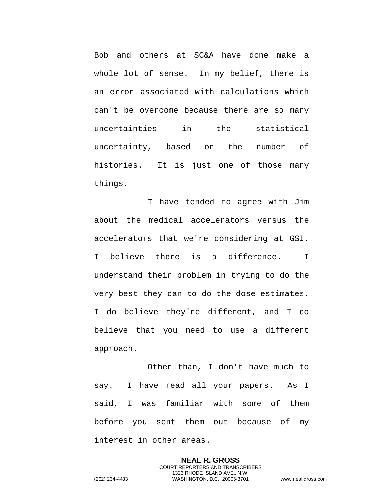Bob and others at SC&A have done make a whole lot of sense. In my belief, there is an error associated with calculations which can't be overcome because there are so many uncertainties in the statistical uncertainty, based on the number of histories. It is just one of those many things.

I have tended to agree with Jim about the medical accelerators versus the accelerators that we're considering at GSI. I believe there is a difference. I understand their problem in trying to do the very best they can to do the dose estimates. I do believe they're different, and I do believe that you need to use a different approach.

Other than, I don't have much to say. I have read all your papers. As I said, I was familiar with some of them before you sent them out because of my interest in other areas.

> **NEAL R. GROSS** COURT REPORTERS AND TRANSCRIBERS 1323 RHODE ISLAND AVE., N.W.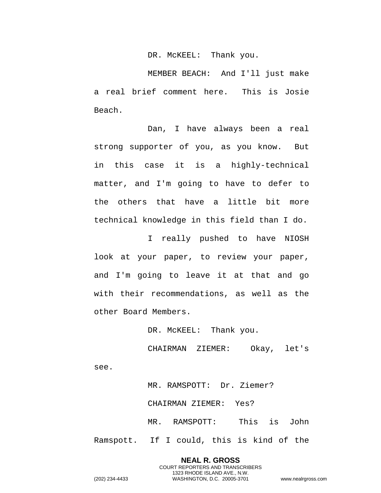DR. MCKEEL: Thank you.

MEMBER BEACH: And I'll just make a real brief comment here. This is Josie Beach.

Dan, I have always been a real strong supporter of you, as you know. But in this case it is a highly-technical matter, and I'm going to have to defer to the others that have a little bit more technical knowledge in this field than I do.

I really pushed to have NIOSH look at your paper, to review your paper, and I'm going to leave it at that and go with their recommendations, as well as the other Board Members.

DR. MCKEEL: Thank you.

CHAIRMAN ZIEMER: Okay, let's see.

MR. RAMSPOTT: Dr. Ziemer? CHAIRMAN ZIEMER: Yes? MR. RAMSPOTT: This is John Ramspott. If I could, this is kind of the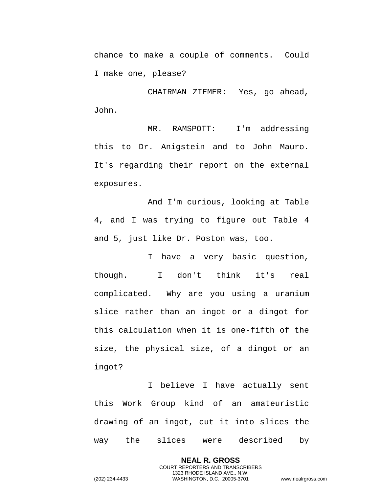chance to make a couple of comments. Could I make one, please?

CHAIRMAN ZIEMER: Yes, go ahead, John.

MR. RAMSPOTT: I'm addressing this to Dr. Anigstein and to John Mauro. It's regarding their report on the external exposures.

And I'm curious, looking at Table 4, and I was trying to figure out Table 4 and 5, just like Dr. Poston was, too.

I have a very basic question, though. I don't think it's real complicated. Why are you using a uranium slice rather than an ingot or a dingot for this calculation when it is one-fifth of the size, the physical size, of a dingot or an ingot?

I believe I have actually sent this Work Group kind of an amateuristic drawing of an ingot, cut it into slices the way the slices were described by

> **NEAL R. GROSS** COURT REPORTERS AND TRANSCRIBERS 1323 RHODE ISLAND AVE., N.W.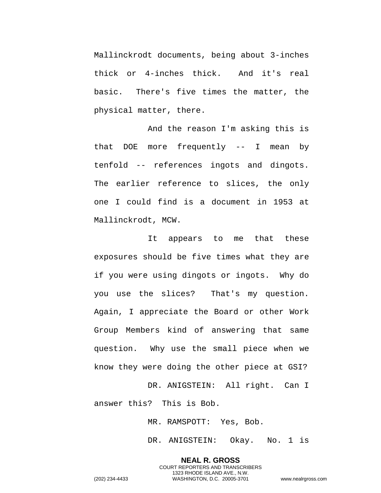Mallinckrodt documents, being about 3-inches thick or 4-inches thick. And it's real basic. There's five times the matter, the physical matter, there.

And the reason I'm asking this is that DOE more frequently -- I mean by tenfold -- references ingots and dingots. The earlier reference to slices, the only one I could find is a document in 1953 at Mallinckrodt, MCW.

It appears to me that these exposures should be five times what they are if you were using dingots or ingots. Why do you use the slices? That's my question. Again, I appreciate the Board or other Work Group Members kind of answering that same question. Why use the small piece when we know they were doing the other piece at GSI?

DR. ANIGSTEIN: All right. Can I answer this? This is Bob.

MR. RAMSPOTT: Yes, Bob.

DR. ANIGSTEIN: Okay. No. 1 is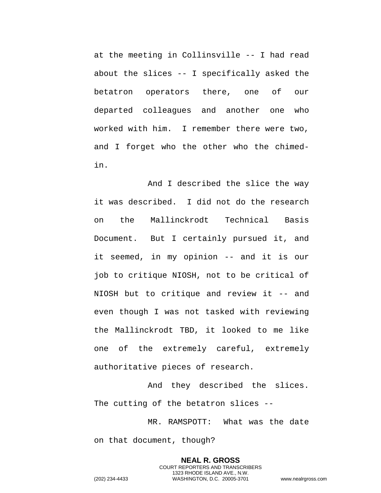at the meeting in Collinsville -- I had read about the slices -- I specifically asked the betatron operators there, one of our departed colleagues and another one who worked with him. I remember there were two, and I forget who the other who the chimedin.

And I described the slice the way it was described. I did not do the research on the Mallinckrodt Technical Basis Document. But I certainly pursued it, and it seemed, in my opinion -- and it is our job to critique NIOSH, not to be critical of NIOSH but to critique and review it -- and even though I was not tasked with reviewing the Mallinckrodt TBD, it looked to me like one of the extremely careful, extremely authoritative pieces of research.

And they described the slices. The cutting of the betatron slices --

MR. RAMSPOTT: What was the date on that document, though?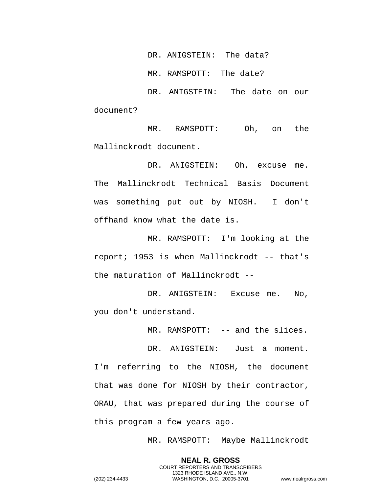DR. ANIGSTEIN: The data?

MR. RAMSPOTT: The date?

DR. ANIGSTEIN: The date on our document?

MR. RAMSPOTT: Oh, on the Mallinckrodt document.

DR. ANIGSTEIN: Oh, excuse me. The Mallinckrodt Technical Basis Document was something put out by NIOSH. I don't offhand know what the date is.

MR. RAMSPOTT: I'm looking at the report; 1953 is when Mallinckrodt -- that's the maturation of Mallinckrodt --

DR. ANIGSTEIN: Excuse me. No, you don't understand.

MR. RAMSPOTT: -- and the slices.

DR. ANIGSTEIN: Just a moment. I'm referring to the NIOSH, the document that was done for NIOSH by their contractor, ORAU, that was prepared during the course of this program a few years ago.

MR. RAMSPOTT: Maybe Mallinckrodt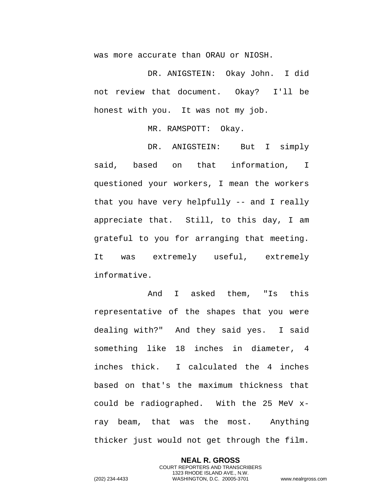was more accurate than ORAU or NIOSH.

DR. ANIGSTEIN: Okay John. I did not review that document. Okay? I'll be honest with you. It was not my job.

MR. RAMSPOTT: Okay.

DR. ANIGSTEIN: But I simply said, based on that information, I questioned your workers, I mean the workers that you have very helpfully -- and I really appreciate that. Still, to this day, I am grateful to you for arranging that meeting. It was extremely useful, extremely informative.

And I asked them, "Is this representative of the shapes that you were dealing with?" And they said yes. I said something like 18 inches in diameter, 4 inches thick. I calculated the 4 inches based on that's the maximum thickness that could be radiographed. With the 25 MeV xray beam, that was the most. Anything thicker just would not get through the film.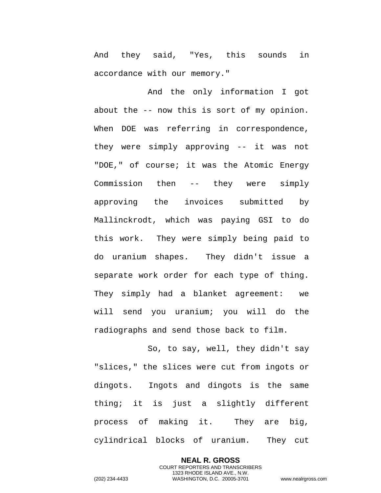And they said, "Yes, this sounds in accordance with our memory."

And the only information I got about the -- now this is sort of my opinion. When DOE was referring in correspondence, they were simply approving -- it was not "DOE," of course; it was the Atomic Energy Commission then -- they were simply approving the invoices submitted by Mallinckrodt, which was paying GSI to do this work. They were simply being paid to do uranium shapes. They didn't issue a separate work order for each type of thing. They simply had a blanket agreement: we will send you uranium; you will do the radiographs and send those back to film.

So, to say, well, they didn't say "slices," the slices were cut from ingots or dingots. Ingots and dingots is the same thing; it is just a slightly different process of making it. They are big, cylindrical blocks of uranium. They cut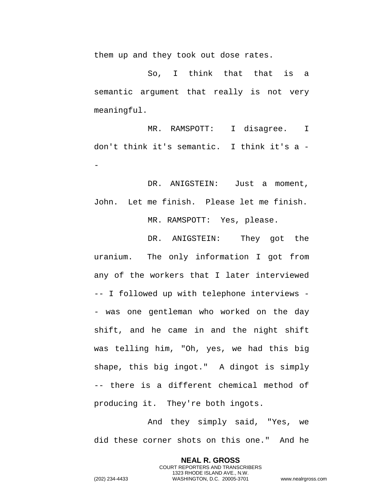them up and they took out dose rates.

So, I think that that is a semantic argument that really is not very meaningful.

MR. RAMSPOTT: I disagree. I don't think it's semantic. I think it's a - -

DR. ANIGSTEIN: Just a moment, John. Let me finish. Please let me finish. MR. RAMSPOTT: Yes, please.

DR. ANIGSTEIN: They got the uranium. The only information I got from any of the workers that I later interviewed -- I followed up with telephone interviews - - was one gentleman who worked on the day shift, and he came in and the night shift was telling him, "Oh, yes, we had this big shape, this big ingot." A dingot is simply -- there is a different chemical method of producing it. They're both ingots.

And they simply said, "Yes, we did these corner shots on this one." And he

> **NEAL R. GROSS** COURT REPORTERS AND TRANSCRIBERS 1323 RHODE ISLAND AVE., N.W.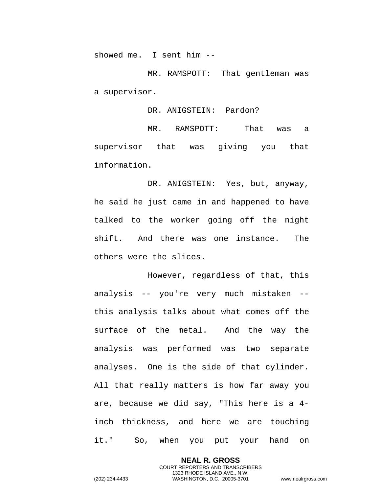showed me. I sent him --

MR. RAMSPOTT: That gentleman was a supervisor.

DR. ANIGSTEIN: Pardon?

MR. RAMSPOTT: That was a supervisor that was giving you that information.

DR. ANIGSTEIN: Yes, but, anyway, he said he just came in and happened to have talked to the worker going off the night shift. And there was one instance. The others were the slices.

However, regardless of that, this analysis -- you're very much mistaken - this analysis talks about what comes off the surface of the metal. And the way the analysis was performed was two separate analyses. One is the side of that cylinder. All that really matters is how far away you are, because we did say, "This here is a 4 inch thickness, and here we are touching it." So, when you put your hand on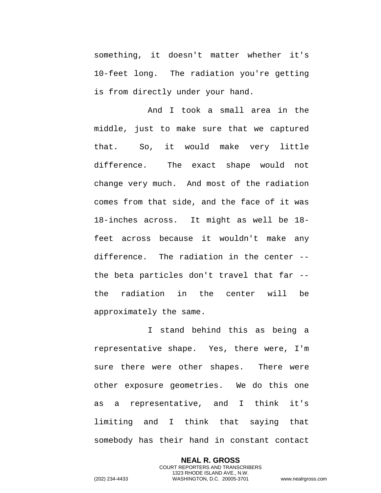something, it doesn't matter whether it's 10-feet long. The radiation you're getting is from directly under your hand.

And I took a small area in the middle, just to make sure that we captured that. So, it would make very little difference. The exact shape would not change very much. And most of the radiation comes from that side, and the face of it was 18-inches across. It might as well be 18 feet across because it wouldn't make any difference. The radiation in the center - the beta particles don't travel that far - the radiation in the center will be approximately the same.

I stand behind this as being a representative shape. Yes, there were, I'm sure there were other shapes. There were other exposure geometries. We do this one as a representative, and I think it's limiting and I think that saying that somebody has their hand in constant contact

> **NEAL R. GROSS** COURT REPORTERS AND TRANSCRIBERS 1323 RHODE ISLAND AVE., N.W.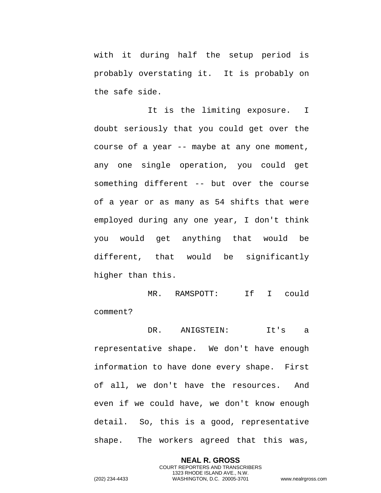with it during half the setup period is probably overstating it. It is probably on the safe side.

It is the limiting exposure. I doubt seriously that you could get over the course of a year -- maybe at any one moment, any one single operation, you could get something different -- but over the course of a year or as many as 54 shifts that were employed during any one year, I don't think you would get anything that would be different, that would be significantly higher than this.

MR. RAMSPOTT: If I could comment?

DR. ANIGSTEIN: It's a

representative shape. We don't have enough information to have done every shape. First of all, we don't have the resources. And even if we could have, we don't know enough detail. So, this is a good, representative shape. The workers agreed that this was,

> **NEAL R. GROSS** COURT REPORTERS AND TRANSCRIBERS 1323 RHODE ISLAND AVE., N.W.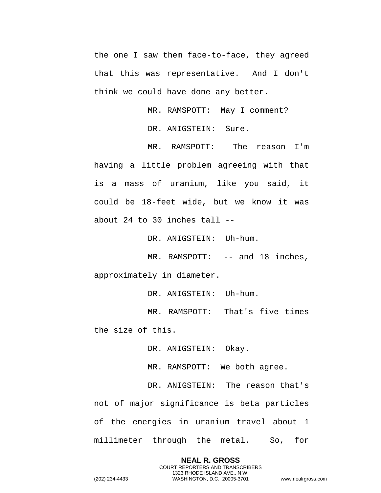the one I saw them face-to-face, they agreed that this was representative. And I don't think we could have done any better.

> MR. RAMSPOTT: May I comment? DR. ANIGSTEIN: Sure.

MR. RAMSPOTT: The reason I'm having a little problem agreeing with that is a mass of uranium, like you said, it could be 18-feet wide, but we know it was about 24 to 30 inches tall --

DR. ANIGSTEIN: Uh-hum.

MR. RAMSPOTT: -- and 18 inches, approximately in diameter.

DR. ANIGSTEIN: Uh-hum.

MR. RAMSPOTT: That's five times the size of this.

DR. ANIGSTEIN: Okay.

MR. RAMSPOTT: We both agree.

DR. ANIGSTEIN: The reason that's not of major significance is beta particles of the energies in uranium travel about 1 millimeter through the metal. So, for

> **NEAL R. GROSS** COURT REPORTERS AND TRANSCRIBERS 1323 RHODE ISLAND AVE., N.W.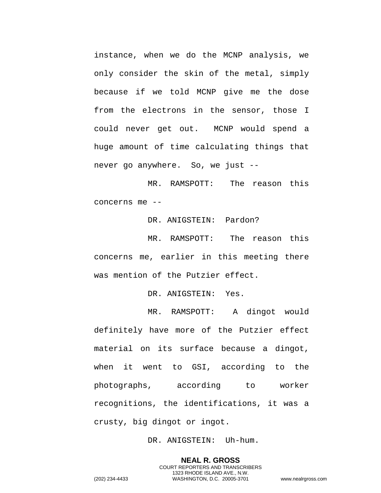instance, when we do the MCNP analysis, we only consider the skin of the metal, simply because if we told MCNP give me the dose from the electrons in the sensor, those I could never get out. MCNP would spend a huge amount of time calculating things that never go anywhere. So, we just --

MR. RAMSPOTT: The reason this concerns me --

DR. ANIGSTEIN: Pardon?

MR. RAMSPOTT: The reason this concerns me, earlier in this meeting there was mention of the Putzier effect.

DR. ANIGSTEIN: Yes.

MR. RAMSPOTT: A dingot would definitely have more of the Putzier effect material on its surface because a dingot, when it went to GSI, according to the photographs, according to worker recognitions, the identifications, it was a crusty, big dingot or ingot.

DR. ANIGSTEIN: Uh-hum.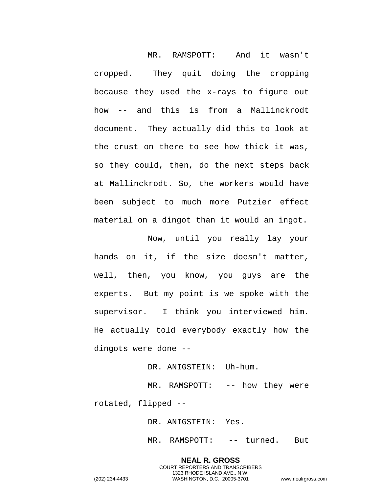MR. RAMSPOTT: And it wasn't cropped. They quit doing the cropping because they used the x-rays to figure out how -- and this is from a Mallinckrodt document. They actually did this to look at the crust on there to see how thick it was, so they could, then, do the next steps back at Mallinckrodt. So, the workers would have been subject to much more Putzier effect material on a dingot than it would an ingot.

Now, until you really lay your hands on it, if the size doesn't matter, well, then, you know, you guys are the experts. But my point is we spoke with the supervisor. I think you interviewed him. He actually told everybody exactly how the dingots were done --

DR. ANIGSTEIN: Uh-hum.

MR. RAMSPOTT: -- how they were

rotated, flipped --

DR. ANIGSTEIN: Yes.

MR. RAMSPOTT: -- turned. But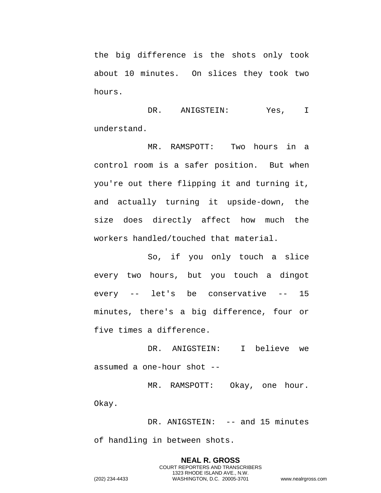the big difference is the shots only took about 10 minutes. On slices they took two hours.

DR. ANIGSTEIN: Yes, I understand.

MR. RAMSPOTT: Two hours in a control room is a safer position. But when you're out there flipping it and turning it, and actually turning it upside-down, the size does directly affect how much the workers handled/touched that material.

So, if you only touch a slice every two hours, but you touch a dingot every -- let's be conservative -- 15 minutes, there's a big difference, four or five times a difference.

DR. ANIGSTEIN: I believe we assumed a one-hour shot --

MR. RAMSPOTT: Okay, one hour. Okay.

DR. ANIGSTEIN: -- and 15 minutes of handling in between shots.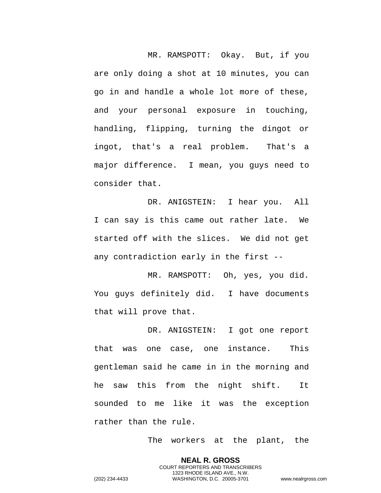MR. RAMSPOTT: Okay. But, if you are only doing a shot at 10 minutes, you can go in and handle a whole lot more of these, and your personal exposure in touching, handling, flipping, turning the dingot or ingot, that's a real problem. That's a major difference. I mean, you guys need to consider that.

DR. ANIGSTEIN: I hear you. All I can say is this came out rather late. We started off with the slices. We did not get any contradiction early in the first --

MR. RAMSPOTT: Oh, yes, you did. You guys definitely did. I have documents that will prove that.

DR. ANIGSTEIN: I got one report that was one case, one instance. This gentleman said he came in in the morning and he saw this from the night shift. It sounded to me like it was the exception rather than the rule.

The workers at the plant, the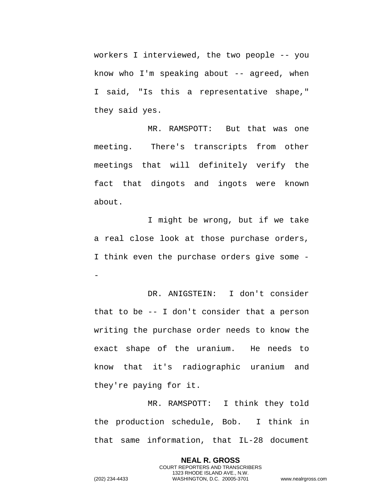workers I interviewed, the two people -- you know who I'm speaking about  $-$  agreed, when I said, "Is this a representative shape," they said yes.

MR. RAMSPOTT: But that was one meeting. There's transcripts from other meetings that will definitely verify the fact that dingots and ingots were known about.

I might be wrong, but if we take a real close look at those purchase orders, I think even the purchase orders give some - -

DR. ANIGSTEIN: I don't consider that to be -- I don't consider that a person writing the purchase order needs to know the exact shape of the uranium. He needs to know that it's radiographic uranium and they're paying for it.

MR. RAMSPOTT: I think they told the production schedule, Bob. I think in that same information, that IL-28 document

> **NEAL R. GROSS** COURT REPORTERS AND TRANSCRIBERS 1323 RHODE ISLAND AVE., N.W.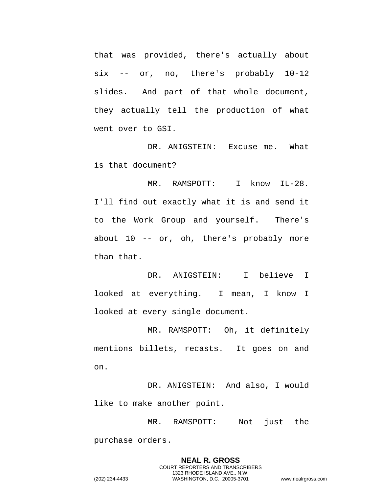that was provided, there's actually about six -- or, no, there's probably 10-12 slides. And part of that whole document, they actually tell the production of what went over to GSI.

DR. ANIGSTEIN: Excuse me. What is that document?

MR. RAMSPOTT: I know IL-28. I'll find out exactly what it is and send it to the Work Group and yourself. There's about 10 -- or, oh, there's probably more than that.

DR. ANIGSTEIN: I believe I looked at everything. I mean, I know I looked at every single document.

MR. RAMSPOTT: Oh, it definitely mentions billets, recasts. It goes on and on.

DR. ANIGSTEIN: And also, I would like to make another point.

MR. RAMSPOTT: Not just the purchase orders.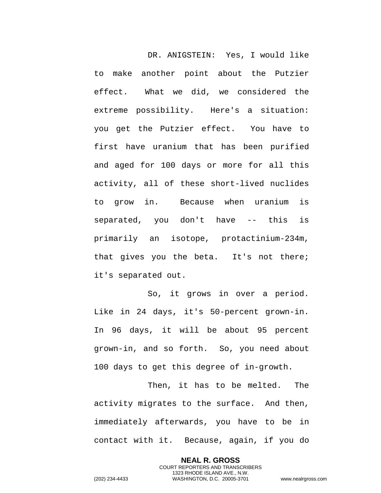DR. ANIGSTEIN: Yes, I would like to make another point about the Putzier effect. What we did, we considered the extreme possibility. Here's a situation: you get the Putzier effect. You have to first have uranium that has been purified and aged for 100 days or more for all this activity, all of these short-lived nuclides to grow in. Because when uranium is separated, you don't have -- this is primarily an isotope, protactinium-234m, that gives you the beta. It's not there; it's separated out.

So, it grows in over a period. Like in 24 days, it's 50-percent grown-in. In 96 days, it will be about 95 percent grown-in, and so forth. So, you need about 100 days to get this degree of in-growth.

Then, it has to be melted. The activity migrates to the surface. And then, immediately afterwards, you have to be in contact with it. Because, again, if you do

> **NEAL R. GROSS** COURT REPORTERS AND TRANSCRIBERS 1323 RHODE ISLAND AVE., N.W.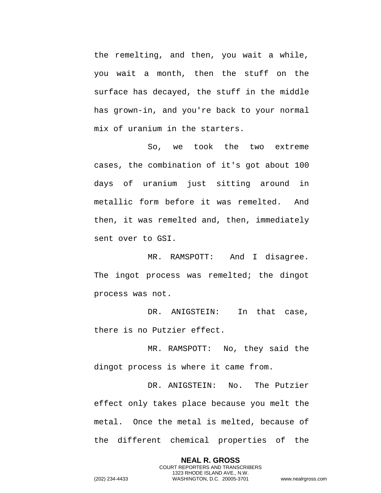the remelting, and then, you wait a while, you wait a month, then the stuff on the surface has decayed, the stuff in the middle has grown-in, and you're back to your normal mix of uranium in the starters.

So, we took the two extreme cases, the combination of it's got about 100 days of uranium just sitting around in metallic form before it was remelted. And then, it was remelted and, then, immediately sent over to GSI.

MR. RAMSPOTT: And I disagree. The ingot process was remelted; the dingot process was not.

DR. ANIGSTEIN: In that case, there is no Putzier effect.

MR. RAMSPOTT: No, they said the dingot process is where it came from.

DR. ANIGSTEIN: No. The Putzier effect only takes place because you melt the metal. Once the metal is melted, because of the different chemical properties of the

> **NEAL R. GROSS** COURT REPORTERS AND TRANSCRIBERS 1323 RHODE ISLAND AVE., N.W.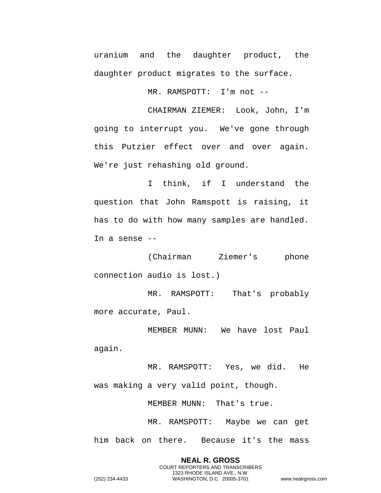uranium and the daughter product, the daughter product migrates to the surface.

MR. RAMSPOTT: I'm not --

CHAIRMAN ZIEMER: Look, John, I'm going to interrupt you. We've gone through this Putzier effect over and over again. We're just rehashing old ground.

I think, if I understand the question that John Ramspott is raising, it has to do with how many samples are handled. In a sense --

(Chairman Ziemer's phone connection audio is lost.)

MR. RAMSPOTT: That's probably more accurate, Paul.

MEMBER MUNN: We have lost Paul again.

MR. RAMSPOTT: Yes, we did. He was making a very valid point, though.

MEMBER MUNN: That's true.

**NEAL R. GROSS** COURT REPORTERS AND TRANSCRIBERS 1323 RHODE ISLAND AVE., N.W.

MR. RAMSPOTT: Maybe we can get him back on there. Because it's the mass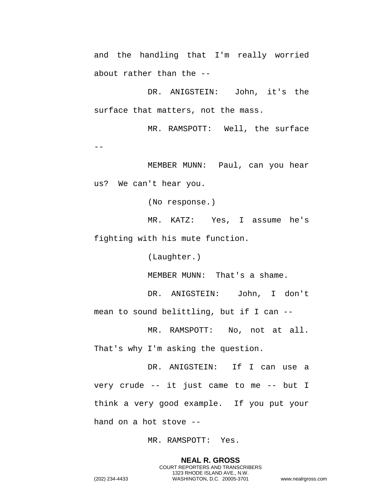and the handling that I'm really worried about rather than the --

DR. ANIGSTEIN: John, it's the surface that matters, not the mass.

MR. RAMSPOTT: Well, the surface  $-$ 

MEMBER MUNN: Paul, can you hear us? We can't hear you.

(No response.)

MR. KATZ: Yes, I assume he's fighting with his mute function.

(Laughter.)

MEMBER MUNN: That's a shame.

DR. ANIGSTEIN: John, I don't mean to sound belittling, but if I can --

MR. RAMSPOTT: No, not at all. That's why I'm asking the question.

DR. ANIGSTEIN: If I can use a very crude -- it just came to me -- but I think a very good example. If you put your hand on a hot stove --

MR. RAMSPOTT: Yes.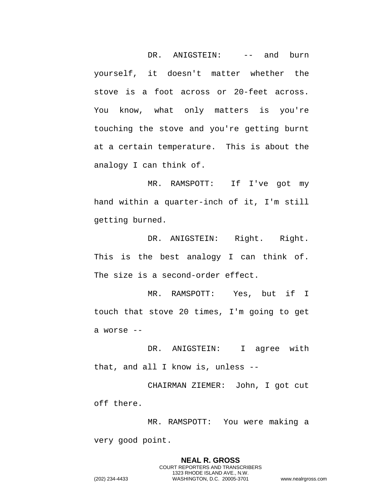DR. ANIGSTEIN: -- and burn yourself, it doesn't matter whether the stove is a foot across or 20-feet across. You know, what only matters is you're touching the stove and you're getting burnt at a certain temperature. This is about the analogy I can think of.

MR. RAMSPOTT: If I've got my hand within a quarter-inch of it, I'm still getting burned.

DR. ANIGSTEIN: Right. Right. This is the best analogy I can think of. The size is a second-order effect.

MR. RAMSPOTT: Yes, but if I touch that stove 20 times, I'm going to get a worse --

DR. ANIGSTEIN: I agree with that, and all I know is, unless --

CHAIRMAN ZIEMER: John, I got cut off there.

MR. RAMSPOTT: You were making a very good point.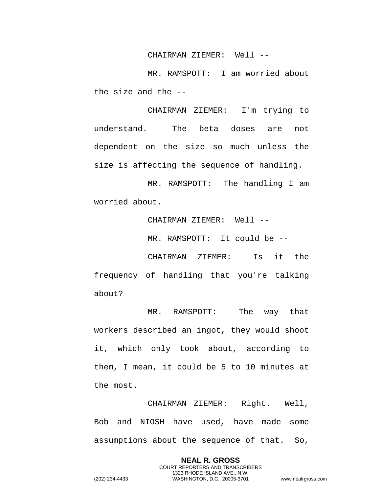## CHAIRMAN ZIEMER: Well --

MR. RAMSPOTT: I am worried about the size and the --

CHAIRMAN ZIEMER: I'm trying to understand. The beta doses are not dependent on the size so much unless the size is affecting the sequence of handling.

MR. RAMSPOTT: The handling I am worried about.

CHAIRMAN ZIEMER: Well --

MR. RAMSPOTT: It could be --

CHAIRMAN ZIEMER: Is it the frequency of handling that you're talking about?

MR. RAMSPOTT: The way that workers described an ingot, they would shoot it, which only took about, according to them, I mean, it could be 5 to 10 minutes at the most.

CHAIRMAN ZIEMER: Right. Well, Bob and NIOSH have used, have made some assumptions about the sequence of that. So,

> **NEAL R. GROSS** COURT REPORTERS AND TRANSCRIBERS 1323 RHODE ISLAND AVE., N.W.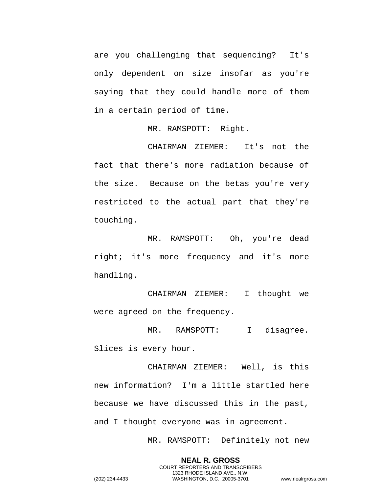are you challenging that sequencing? It's only dependent on size insofar as you're saying that they could handle more of them in a certain period of time.

MR. RAMSPOTT: Right.

CHAIRMAN ZIEMER: It's not the fact that there's more radiation because of the size. Because on the betas you're very restricted to the actual part that they're touching.

MR. RAMSPOTT: Oh, you're dead right; it's more frequency and it's more handling.

CHAIRMAN ZIEMER: I thought we were agreed on the frequency.

MR. RAMSPOTT: I disagree. Slices is every hour.

CHAIRMAN ZIEMER: Well, is this new information? I'm a little startled here because we have discussed this in the past, and I thought everyone was in agreement.

MR. RAMSPOTT: Definitely not new

**NEAL R. GROSS** COURT REPORTERS AND TRANSCRIBERS 1323 RHODE ISLAND AVE., N.W.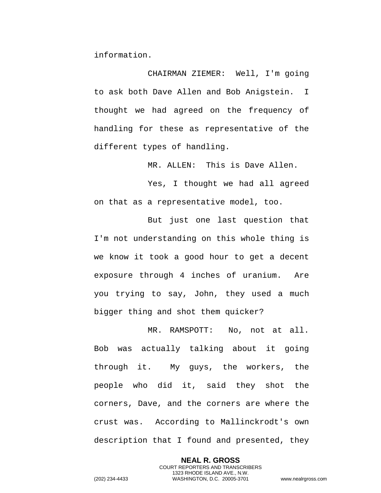information.

CHAIRMAN ZIEMER: Well, I'm going to ask both Dave Allen and Bob Anigstein. I thought we had agreed on the frequency of handling for these as representative of the different types of handling.

MR. ALLEN: This is Dave Allen.

Yes, I thought we had all agreed on that as a representative model, too.

But just one last question that I'm not understanding on this whole thing is we know it took a good hour to get a decent exposure through 4 inches of uranium. Are you trying to say, John, they used a much bigger thing and shot them quicker?

MR. RAMSPOTT: No, not at all. Bob was actually talking about it going through it. My guys, the workers, the people who did it, said they shot the corners, Dave, and the corners are where the crust was. According to Mallinckrodt's own description that I found and presented, they

> **NEAL R. GROSS** COURT REPORTERS AND TRANSCRIBERS 1323 RHODE ISLAND AVE., N.W.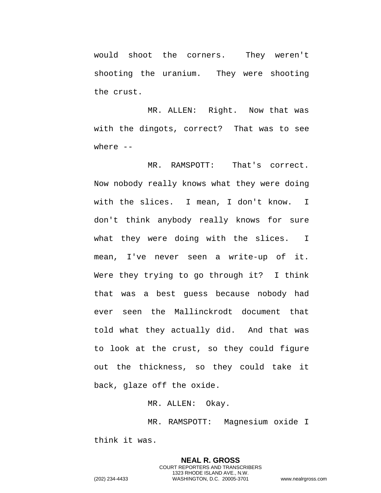would shoot the corners. They weren't shooting the uranium. They were shooting the crust.

MR. ALLEN: Right. Now that was with the dingots, correct? That was to see where --

MR. RAMSPOTT: That's correct. Now nobody really knows what they were doing with the slices. I mean, I don't know. I don't think anybody really knows for sure what they were doing with the slices. I mean, I've never seen a write-up of it. Were they trying to go through it? I think that was a best guess because nobody had ever seen the Mallinckrodt document that told what they actually did. And that was to look at the crust, so they could figure out the thickness, so they could take it back, glaze off the oxide.

MR. ALLEN: Okay.

MR. RAMSPOTT: Magnesium oxide I think it was.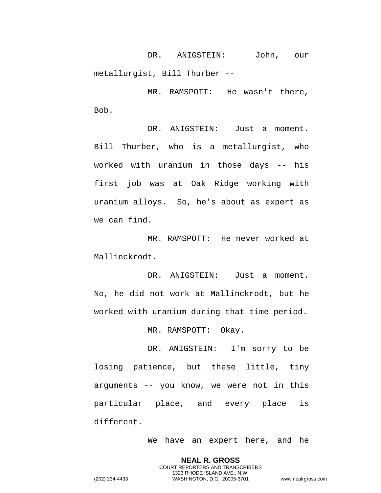DR. ANIGSTEIN: John, our metallurgist, Bill Thurber --

MR. RAMSPOTT: He wasn't there, Bob.

DR. ANIGSTEIN: Just a moment. Bill Thurber, who is a metallurgist, who worked with uranium in those days -- his first job was at Oak Ridge working with uranium alloys. So, he's about as expert as we can find.

MR. RAMSPOTT: He never worked at Mallinckrodt.

DR. ANIGSTEIN: Just a moment. No, he did not work at Mallinckrodt, but he worked with uranium during that time period.

MR. RAMSPOTT: Okay.

DR. ANIGSTEIN: I'm sorry to be losing patience, but these little, tiny arguments -- you know, we were not in this particular place, and every place is different.

We have an expert here, and he

**NEAL R. GROSS** COURT REPORTERS AND TRANSCRIBERS 1323 RHODE ISLAND AVE., N.W.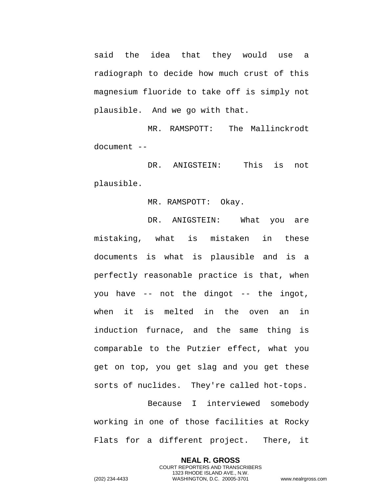said the idea that they would use a radiograph to decide how much crust of this magnesium fluoride to take off is simply not plausible. And we go with that.

MR. RAMSPOTT: The Mallinckrodt document --

DR. ANIGSTEIN: This is not plausible.

MR. RAMSPOTT: Okay.

DR. ANIGSTEIN: What you are mistaking, what is mistaken in these documents is what is plausible and is a perfectly reasonable practice is that, when you have -- not the dingot -- the ingot, when it is melted in the oven an in induction furnace, and the same thing is comparable to the Putzier effect, what you get on top, you get slag and you get these sorts of nuclides. They're called hot-tops.

Because I interviewed somebody working in one of those facilities at Rocky Flats for a different project. There, it

> **NEAL R. GROSS** COURT REPORTERS AND TRANSCRIBERS 1323 RHODE ISLAND AVE., N.W.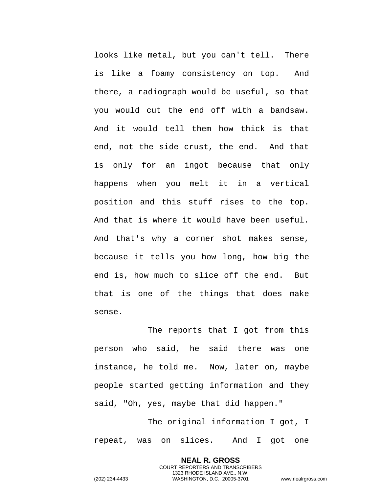looks like metal, but you can't tell. There is like a foamy consistency on top. And there, a radiograph would be useful, so that you would cut the end off with a bandsaw. And it would tell them how thick is that end, not the side crust, the end. And that is only for an ingot because that only happens when you melt it in a vertical position and this stuff rises to the top. And that is where it would have been useful. And that's why a corner shot makes sense, because it tells you how long, how big the end is, how much to slice off the end. But that is one of the things that does make sense.

The reports that I got from this person who said, he said there was one instance, he told me. Now, later on, maybe people started getting information and they said, "Oh, yes, maybe that did happen."

The original information I got, I repeat, was on slices. And I got one

> **NEAL R. GROSS** COURT REPORTERS AND TRANSCRIBERS 1323 RHODE ISLAND AVE., N.W.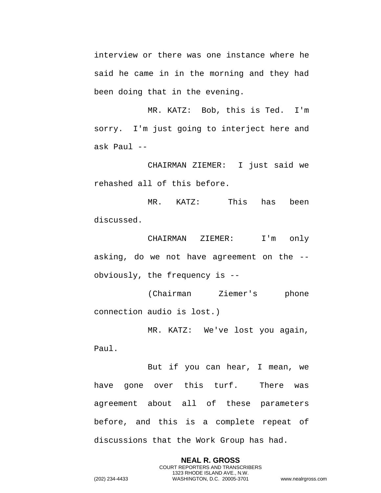interview or there was one instance where he said he came in in the morning and they had been doing that in the evening.

MR. KATZ: Bob, this is Ted. I'm sorry. I'm just going to interject here and ask Paul --

CHAIRMAN ZIEMER: I just said we rehashed all of this before.

MR. KATZ: This has been discussed.

CHAIRMAN ZIEMER: I'm only asking, do we not have agreement on the - obviously, the frequency is --

(Chairman Ziemer's phone connection audio is lost.)

MR. KATZ: We've lost you again,

Paul.

But if you can hear, I mean, we have gone over this turf. There was agreement about all of these parameters before, and this is a complete repeat of discussions that the Work Group has had.

> **NEAL R. GROSS** COURT REPORTERS AND TRANSCRIBERS 1323 RHODE ISLAND AVE., N.W.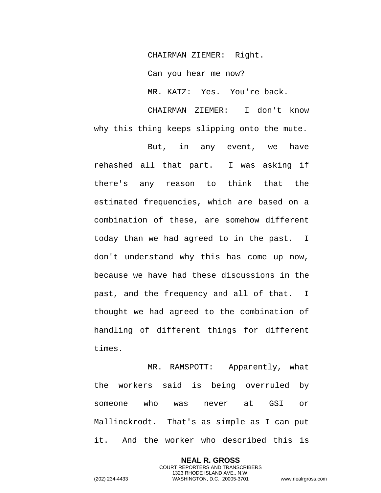CHAIRMAN ZIEMER: Right.

Can you hear me now?

MR. KATZ: Yes. You're back.

CHAIRMAN ZIEMER: I don't know why this thing keeps slipping onto the mute.

But, in any event, we have rehashed all that part. I was asking if there's any reason to think that the estimated frequencies, which are based on a combination of these, are somehow different today than we had agreed to in the past. I don't understand why this has come up now, because we have had these discussions in the past, and the frequency and all of that. I thought we had agreed to the combination of handling of different things for different times.

MR. RAMSPOTT: Apparently, what the workers said is being overruled by someone who was never at GSI or Mallinckrodt. That's as simple as I can put it. And the worker who described this is

> **NEAL R. GROSS** COURT REPORTERS AND TRANSCRIBERS 1323 RHODE ISLAND AVE., N.W.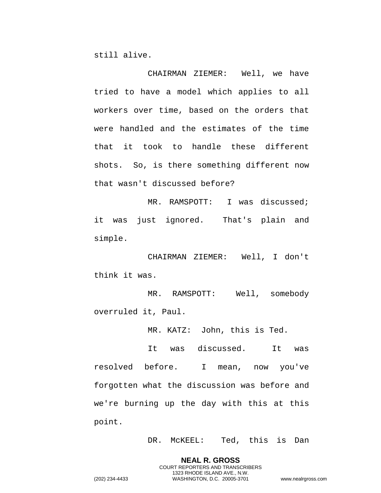still alive.

CHAIRMAN ZIEMER: Well, we have tried to have a model which applies to all workers over time, based on the orders that were handled and the estimates of the time that it took to handle these different shots. So, is there something different now that wasn't discussed before?

MR. RAMSPOTT: I was discussed; it was just ignored. That's plain and simple.

CHAIRMAN ZIEMER: Well, I don't think it was.

MR. RAMSPOTT: Well, somebody overruled it, Paul.

MR. KATZ: John, this is Ted.

It was discussed. It was resolved before. I mean, now you've forgotten what the discussion was before and we're burning up the day with this at this point.

DR. McKEEL: Ted, this is Dan

**NEAL R. GROSS** COURT REPORTERS AND TRANSCRIBERS 1323 RHODE ISLAND AVE., N.W.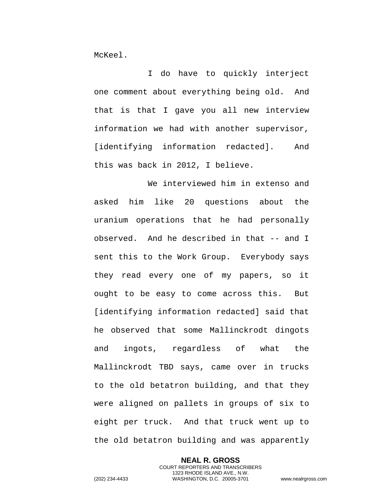McKeel.

I do have to quickly interject one comment about everything being old. And that is that I gave you all new interview information we had with another supervisor, [identifying information redacted]. And this was back in 2012, I believe.

We interviewed him in extenso and asked him like 20 questions about the uranium operations that he had personally observed. And he described in that -- and I sent this to the Work Group. Everybody says they read every one of my papers, so it ought to be easy to come across this. But [identifying information redacted] said that he observed that some Mallinckrodt dingots and ingots, regardless of what the Mallinckrodt TBD says, came over in trucks to the old betatron building, and that they were aligned on pallets in groups of six to eight per truck. And that truck went up to the old betatron building and was apparently

> **NEAL R. GROSS** COURT REPORTERS AND TRANSCRIBERS 1323 RHODE ISLAND AVE., N.W.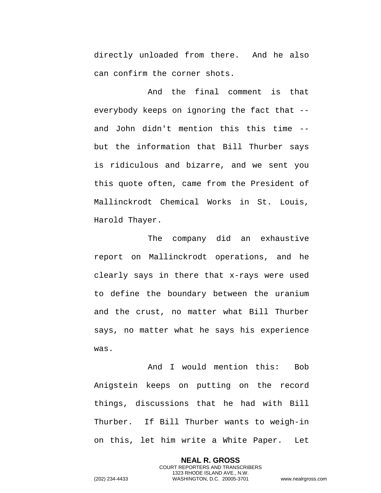directly unloaded from there. And he also can confirm the corner shots.

And the final comment is that everybody keeps on ignoring the fact that - and John didn't mention this this time - but the information that Bill Thurber says is ridiculous and bizarre, and we sent you this quote often, came from the President of Mallinckrodt Chemical Works in St. Louis, Harold Thayer.

The company did an exhaustive report on Mallinckrodt operations, and he clearly says in there that x-rays were used to define the boundary between the uranium and the crust, no matter what Bill Thurber says, no matter what he says his experience was.

And I would mention this: Bob Anigstein keeps on putting on the record things, discussions that he had with Bill Thurber. If Bill Thurber wants to weigh-in on this, let him write a White Paper. Let

> **NEAL R. GROSS** COURT REPORTERS AND TRANSCRIBERS 1323 RHODE ISLAND AVE., N.W.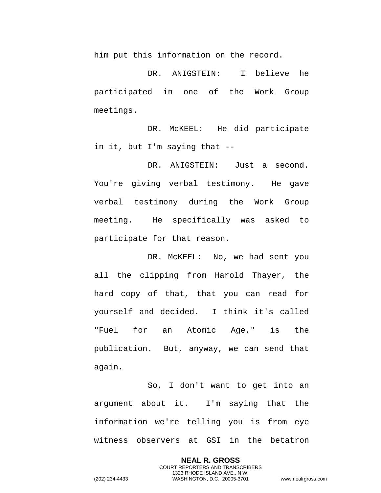him put this information on the record.

DR. ANIGSTEIN: I believe he participated in one of the Work Group meetings.

DR. McKEEL: He did participate in it, but I'm saying that --

DR. ANIGSTEIN: Just a second. You're giving verbal testimony. He gave verbal testimony during the Work Group meeting. He specifically was asked to participate for that reason.

DR. McKEEL: No, we had sent you all the clipping from Harold Thayer, the hard copy of that, that you can read for yourself and decided. I think it's called "Fuel for an Atomic Age," is the publication. But, anyway, we can send that again.

So, I don't want to get into an argument about it. I'm saying that the information we're telling you is from eye witness observers at GSI in the betatron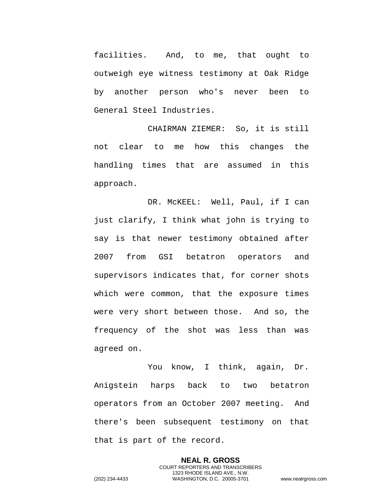facilities. And, to me, that ought to outweigh eye witness testimony at Oak Ridge by another person who's never been to General Steel Industries.

CHAIRMAN ZIEMER: So, it is still not clear to me how this changes the handling times that are assumed in this approach.

DR. McKEEL: Well, Paul, if I can just clarify, I think what john is trying to say is that newer testimony obtained after 2007 from GSI betatron operators and supervisors indicates that, for corner shots which were common, that the exposure times were very short between those. And so, the frequency of the shot was less than was agreed on.

You know, I think, again, Dr. Anigstein harps back to two betatron operators from an October 2007 meeting. And there's been subsequent testimony on that that is part of the record.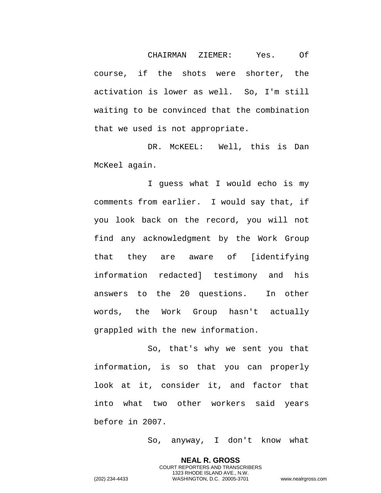CHAIRMAN ZIEMER: Yes. Of course, if the shots were shorter, the activation is lower as well. So, I'm still waiting to be convinced that the combination that we used is not appropriate.

DR. McKEEL: Well, this is Dan McKeel again.

I guess what I would echo is my comments from earlier. I would say that, if you look back on the record, you will not find any acknowledgment by the Work Group that they are aware of [identifying information redacted] testimony and his answers to the 20 questions. In other words, the Work Group hasn't actually grappled with the new information.

So, that's why we sent you that information, is so that you can properly look at it, consider it, and factor that into what two other workers said years before in 2007.

So, anyway, I don't know what

**NEAL R. GROSS**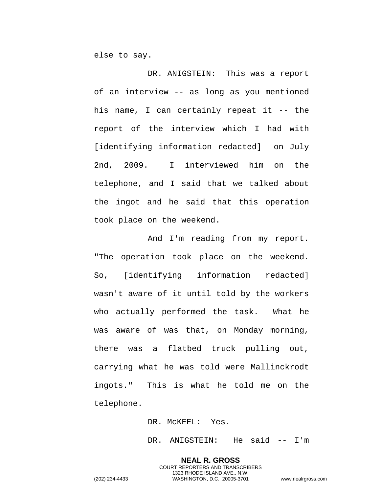else to say.

DR. ANIGSTEIN: This was a report of an interview -- as long as you mentioned his name, I can certainly repeat it -- the report of the interview which I had with [identifying information redacted] on July 2nd, 2009. I interviewed him on the telephone, and I said that we talked about the ingot and he said that this operation took place on the weekend.

And I'm reading from my report. "The operation took place on the weekend. So, [identifying information redacted] wasn't aware of it until told by the workers who actually performed the task. What he was aware of was that, on Monday morning, there was a flatbed truck pulling out, carrying what he was told were Mallinckrodt ingots." This is what he told me on the telephone.

DR. McKEEL: Yes.

DR. ANIGSTEIN: He said -- I'm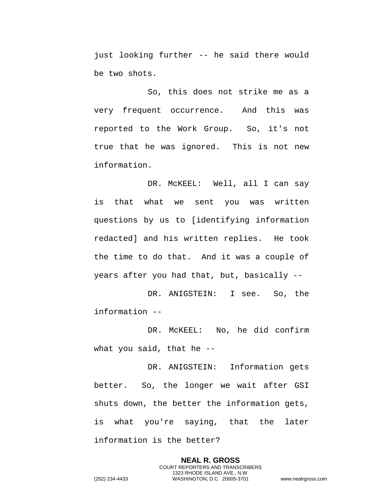just looking further -- he said there would be two shots.

So, this does not strike me as a very frequent occurrence. And this was reported to the Work Group. So, it's not true that he was ignored. This is not new information.

DR. McKEEL: Well, all I can say is that what we sent you was written questions by us to [identifying information redacted] and his written replies. He took the time to do that. And it was a couple of years after you had that, but, basically --

DR. ANIGSTEIN: I see. So, the information --

DR. McKEEL: No, he did confirm what you said, that he --

DR. ANIGSTEIN: Information gets better. So, the longer we wait after GSI shuts down, the better the information gets, is what you're saying, that the later information is the better?

> **NEAL R. GROSS** COURT REPORTERS AND TRANSCRIBERS 1323 RHODE ISLAND AVE., N.W.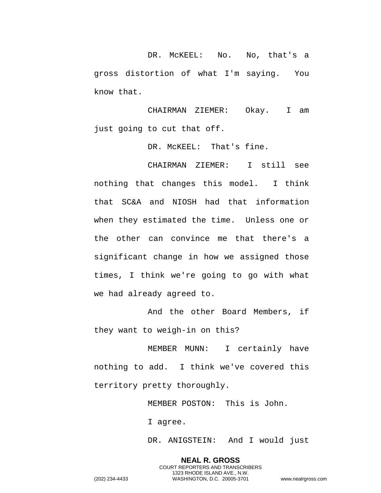DR. McKEEL: No. No, that's a gross distortion of what I'm saying. You know that.

CHAIRMAN ZIEMER: Okay. I am just going to cut that off.

DR. McKEEL: That's fine.

CHAIRMAN ZIEMER: I still see nothing that changes this model. I think that SC&A and NIOSH had that information when they estimated the time. Unless one or the other can convince me that there's a significant change in how we assigned those times, I think we're going to go with what we had already agreed to.

And the other Board Members, if they want to weigh-in on this?

MEMBER MUNN: I certainly have nothing to add. I think we've covered this territory pretty thoroughly.

MEMBER POSTON: This is John.

I agree.

DR. ANIGSTEIN: And I would just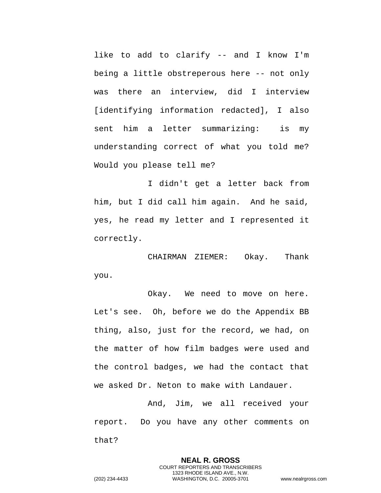like to add to clarify -- and I know I'm being a little obstreperous here -- not only was there an interview, did I interview [identifying information redacted], I also sent him a letter summarizing: is my understanding correct of what you told me? Would you please tell me?

I didn't get a letter back from him, but I did call him again. And he said, yes, he read my letter and I represented it correctly.

CHAIRMAN ZIEMER: Okay. Thank you.

Okay. We need to move on here. Let's see. Oh, before we do the Appendix BB thing, also, just for the record, we had, on the matter of how film badges were used and the control badges, we had the contact that we asked Dr. Neton to make with Landauer.

And, Jim, we all received your report. Do you have any other comments on that?

> **NEAL R. GROSS** COURT REPORTERS AND TRANSCRIBERS 1323 RHODE ISLAND AVE., N.W.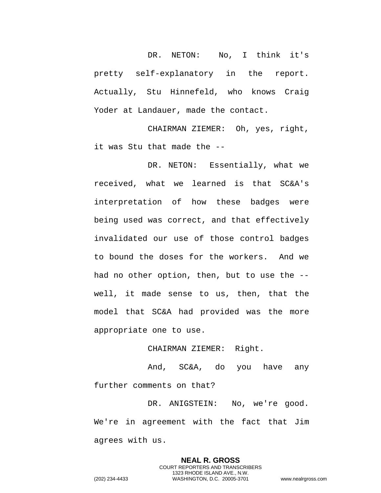DR. NETON: No, I think it's pretty self-explanatory in the report. Actually, Stu Hinnefeld, who knows Craig Yoder at Landauer, made the contact.

CHAIRMAN ZIEMER: Oh, yes, right, it was Stu that made the --

DR. NETON: Essentially, what we received, what we learned is that SC&A's interpretation of how these badges were being used was correct, and that effectively invalidated our use of those control badges to bound the doses for the workers. And we had no other option, then, but to use the - well, it made sense to us, then, that the model that SC&A had provided was the more appropriate one to use.

## CHAIRMAN ZIEMER: Right.

And, SC&A, do you have any further comments on that?

DR. ANIGSTEIN: No, we're good. We're in agreement with the fact that Jim agrees with us.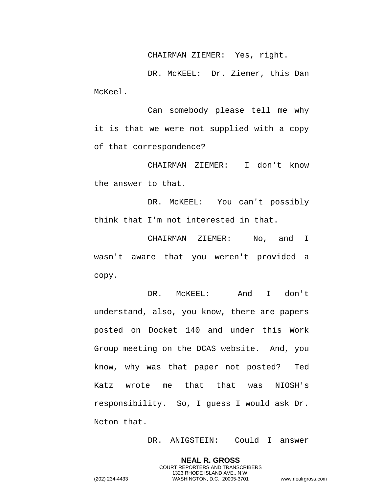CHAIRMAN ZIEMER: Yes, right.

DR. McKEEL: Dr. Ziemer, this Dan McKeel.

Can somebody please tell me why it is that we were not supplied with a copy of that correspondence?

CHAIRMAN ZIEMER: I don't know the answer to that.

DR. McKEEL: You can't possibly think that I'm not interested in that.

CHAIRMAN ZIEMER: No, and I wasn't aware that you weren't provided a copy.

DR. McKEEL: And I don't understand, also, you know, there are papers posted on Docket 140 and under this Work Group meeting on the DCAS website. And, you know, why was that paper not posted? Ted Katz wrote me that that was NIOSH's responsibility. So, I guess I would ask Dr. Neton that.

DR. ANIGSTEIN: Could I answer

**NEAL R. GROSS** COURT REPORTERS AND TRANSCRIBERS 1323 RHODE ISLAND AVE., N.W.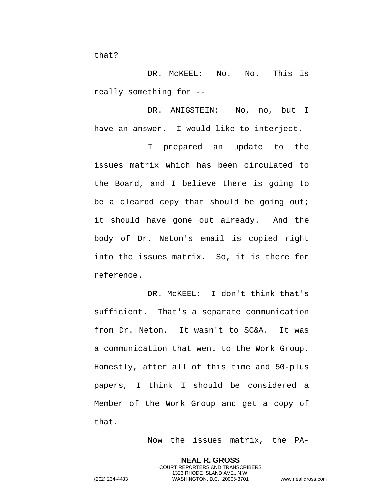that?

DR. MCKEEL: No. No. This is really something for --

DR. ANIGSTEIN: No, no, but I have an answer. I would like to interject.

I prepared an update to the issues matrix which has been circulated to the Board, and I believe there is going to be a cleared copy that should be going out; it should have gone out already. And the body of Dr. Neton's email is copied right into the issues matrix. So, it is there for reference.

DR. McKEEL: I don't think that's sufficient. That's a separate communication from Dr. Neton. It wasn't to SC&A. It was a communication that went to the Work Group. Honestly, after all of this time and 50-plus papers, I think I should be considered a Member of the Work Group and get a copy of that.

Now the issues matrix, the PA-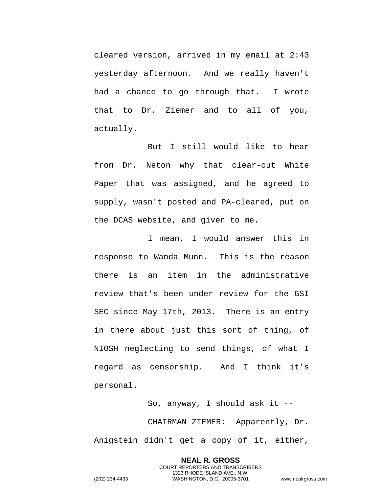cleared version, arrived in my email at 2:43 yesterday afternoon. And we really haven't had a chance to go through that. I wrote that to Dr. Ziemer and to all of you, actually.

But I still would like to hear from Dr. Neton why that clear-cut White Paper that was assigned, and he agreed to supply, wasn't posted and PA-cleared, put on the DCAS website, and given to me.

I mean, I would answer this in response to Wanda Munn. This is the reason there is an item in the administrative review that's been under review for the GSI SEC since May 17th, 2013. There is an entry in there about just this sort of thing, of NIOSH neglecting to send things, of what I regard as censorship. And I think it's personal.

So, anyway, I should ask it -- CHAIRMAN ZIEMER: Apparently, Dr. Anigstein didn't get a copy of it, either,

> **NEAL R. GROSS** COURT REPORTERS AND TRANSCRIBERS 1323 RHODE ISLAND AVE., N.W.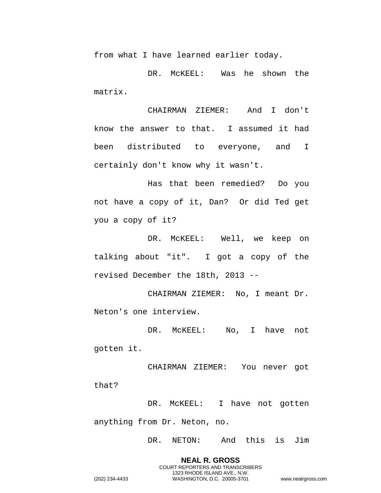from what I have learned earlier today.

DR. McKEEL: Was he shown the matrix.

CHAIRMAN ZIEMER: And I don't know the answer to that. I assumed it had been distributed to everyone, and I certainly don't know why it wasn't.

Has that been remedied? Do you not have a copy of it, Dan? Or did Ted get you a copy of it?

DR. McKEEL: Well, we keep on talking about "it". I got a copy of the revised December the 18th, 2013 --

CHAIRMAN ZIEMER: No, I meant Dr. Neton's one interview.

DR. McKEEL: No, I have not gotten it.

CHAIRMAN ZIEMER: You never got that?

DR. McKEEL: I have not gotten anything from Dr. Neton, no.

DR. NETON: And this is Jim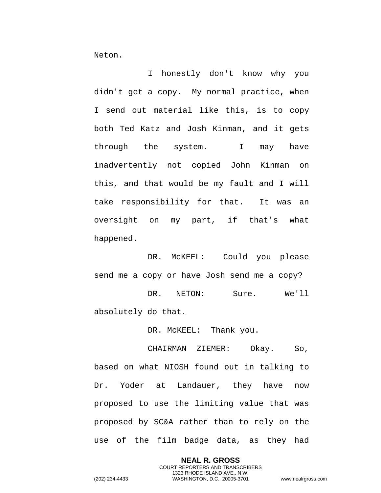Neton.

I honestly don't know why you didn't get a copy. My normal practice, when I send out material like this, is to copy both Ted Katz and Josh Kinman, and it gets through the system. I may have inadvertently not copied John Kinman on this, and that would be my fault and I will take responsibility for that. It was an oversight on my part, if that's what happened.

DR. McKEEL: Could you please send me a copy or have Josh send me a copy? DR. NETON: Sure. We'll

absolutely do that.

DR. McKEEL: Thank you.

CHAIRMAN ZIEMER: Okay. So, based on what NIOSH found out in talking to Dr. Yoder at Landauer, they have now proposed to use the limiting value that was proposed by SC&A rather than to rely on the use of the film badge data, as they had

> **NEAL R. GROSS** COURT REPORTERS AND TRANSCRIBERS 1323 RHODE ISLAND AVE., N.W.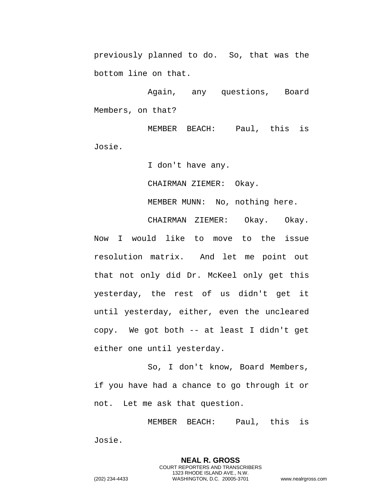previously planned to do. So, that was the bottom line on that.

Again, any questions, Board Members, on that?

MEMBER BEACH: Paul, this is Josie.

I don't have any.

CHAIRMAN ZIEMER: Okay.

MEMBER MUNN: No, nothing here.

CHAIRMAN ZIEMER: Okay. Okay. Now I would like to move to the issue resolution matrix. And let me point out that not only did Dr. McKeel only get this yesterday, the rest of us didn't get it until yesterday, either, even the uncleared copy. We got both -- at least I didn't get either one until yesterday.

So, I don't know, Board Members, if you have had a chance to go through it or not. Let me ask that question.

MEMBER BEACH: Paul, this is Josie.

> **NEAL R. GROSS** COURT REPORTERS AND TRANSCRIBERS 1323 RHODE ISLAND AVE., N.W.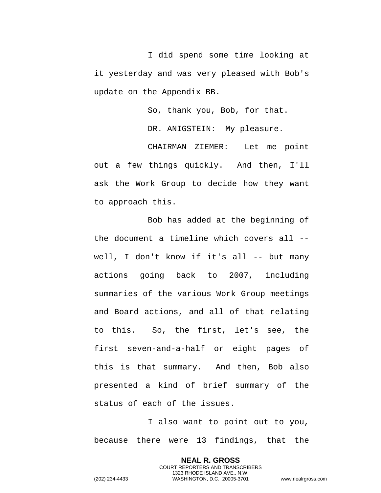I did spend some time looking at it yesterday and was very pleased with Bob's update on the Appendix BB.

So, thank you, Bob, for that.

DR. ANIGSTEIN: My pleasure.

CHAIRMAN ZIEMER: Let me point out a few things quickly. And then, I'll ask the Work Group to decide how they want to approach this.

Bob has added at the beginning of the document a timeline which covers all - well, I don't know if it's all -- but many actions going back to 2007, including summaries of the various Work Group meetings and Board actions, and all of that relating to this. So, the first, let's see, the first seven-and-a-half or eight pages of this is that summary. And then, Bob also presented a kind of brief summary of the status of each of the issues.

I also want to point out to you, because there were 13 findings, that the

> **NEAL R. GROSS** COURT REPORTERS AND TRANSCRIBERS 1323 RHODE ISLAND AVE., N.W.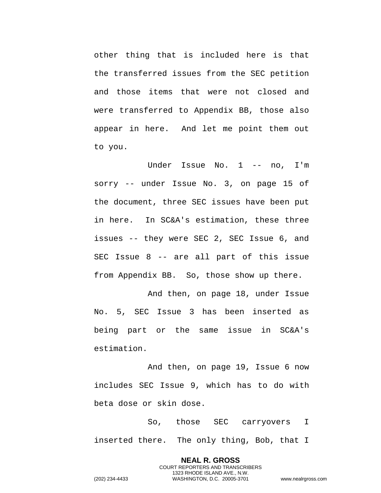other thing that is included here is that the transferred issues from the SEC petition and those items that were not closed and were transferred to Appendix BB, those also appear in here. And let me point them out to you.

Under Issue No. 1 -- no, I'm sorry -- under Issue No. 3, on page 15 of the document, three SEC issues have been put in here. In SC&A's estimation, these three issues -- they were SEC 2, SEC Issue 6, and SEC Issue 8 -- are all part of this issue from Appendix BB. So, those show up there.

And then, on page 18, under Issue No. 5, SEC Issue 3 has been inserted as being part or the same issue in SC&A's estimation.

And then, on page 19, Issue 6 now includes SEC Issue 9, which has to do with beta dose or skin dose.

So, those SEC carryovers I inserted there. The only thing, Bob, that I

> **NEAL R. GROSS** COURT REPORTERS AND TRANSCRIBERS 1323 RHODE ISLAND AVE., N.W.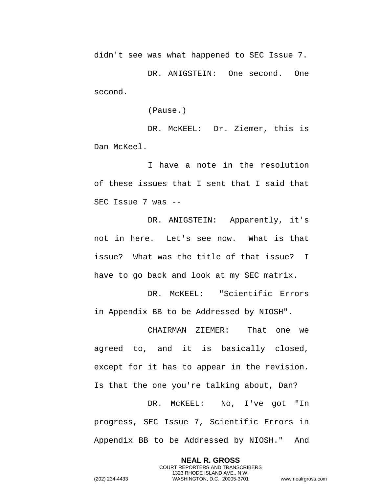didn't see was what happened to SEC Issue 7.

DR. ANIGSTEIN: One second. One second.

(Pause.)

DR. McKEEL: Dr. Ziemer, this is Dan McKeel.

I have a note in the resolution of these issues that I sent that I said that SEC Issue 7 was --

DR. ANIGSTEIN: Apparently, it's not in here. Let's see now. What is that issue? What was the title of that issue? I have to go back and look at my SEC matrix.

DR. McKEEL: "Scientific Errors in Appendix BB to be Addressed by NIOSH".

CHAIRMAN ZIEMER: That one we agreed to, and it is basically closed, except for it has to appear in the revision. Is that the one you're talking about, Dan?

DR. McKEEL: No, I've got "In progress, SEC Issue 7, Scientific Errors in Appendix BB to be Addressed by NIOSH." And

> **NEAL R. GROSS** COURT REPORTERS AND TRANSCRIBERS 1323 RHODE ISLAND AVE., N.W.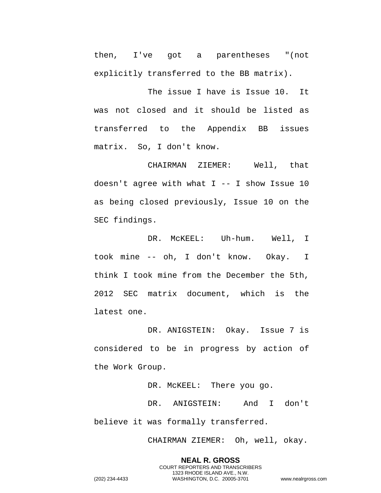then, I've got a parentheses "(not explicitly transferred to the BB matrix).

The issue I have is Issue 10. It was not closed and it should be listed as transferred to the Appendix BB issues matrix. So, I don't know.

CHAIRMAN ZIEMER: Well, that doesn't agree with what  $I$  -- I show Issue 10 as being closed previously, Issue 10 on the SEC findings.

DR. McKEEL: Uh-hum. Well, I took mine -- oh, I don't know. Okay. I think I took mine from the December the 5th, 2012 SEC matrix document, which is the latest one.

DR. ANIGSTEIN: Okay. Issue 7 is considered to be in progress by action of the Work Group.

DR. McKEEL: There you go. DR. ANIGSTEIN: And I don't believe it was formally transferred.

CHAIRMAN ZIEMER: Oh, well, okay.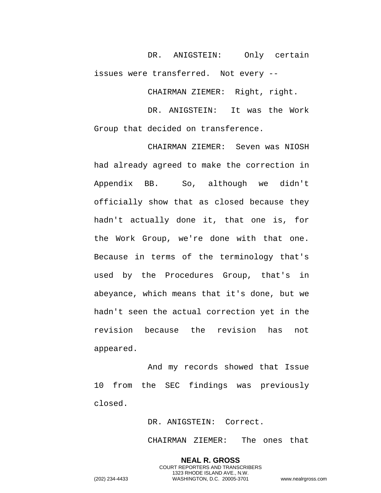DR. ANIGSTEIN: Only certain issues were transferred. Not every --

CHAIRMAN ZIEMER: Right, right.

DR. ANIGSTEIN: It was the Work Group that decided on transference.

CHAIRMAN ZIEMER: Seven was NIOSH had already agreed to make the correction in Appendix BB. So, although we didn't officially show that as closed because they hadn't actually done it, that one is, for the Work Group, we're done with that one. Because in terms of the terminology that's used by the Procedures Group, that's in abeyance, which means that it's done, but we hadn't seen the actual correction yet in the revision because the revision has not appeared.

And my records showed that Issue 10 from the SEC findings was previously closed.

DR. ANIGSTEIN: Correct.

CHAIRMAN ZIEMER: The ones that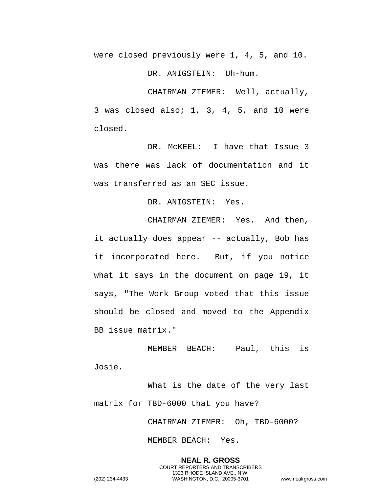were closed previously were 1, 4, 5, and 10.

DR. ANIGSTEIN: Uh-hum.

CHAIRMAN ZIEMER: Well, actually, 3 was closed also; 1, 3, 4, 5, and 10 were closed.

DR. McKEEL: I have that Issue 3 was there was lack of documentation and it was transferred as an SEC issue.

DR. ANIGSTEIN: Yes.

CHAIRMAN ZIEMER: Yes. And then, it actually does appear -- actually, Bob has it incorporated here. But, if you notice what it says in the document on page 19, it says, "The Work Group voted that this issue should be closed and moved to the Appendix BB issue matrix."

MEMBER BEACH: Paul, this is Josie.

What is the date of the very last matrix for TBD-6000 that you have?

CHAIRMAN ZIEMER: Oh, TBD-6000?

MEMBER BEACH: Yes.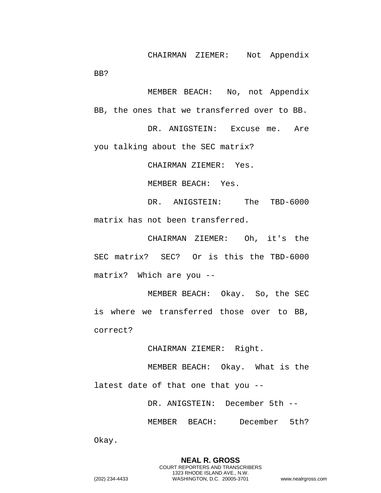CHAIRMAN ZIEMER: Not Appendix

MEMBER BEACH: No, not Appendix BB, the ones that we transferred over to BB.

DR. ANIGSTEIN: Excuse me. Are you talking about the SEC matrix?

CHAIRMAN ZIEMER: Yes.

MEMBER BEACH: Yes.

DR. ANIGSTEIN: The TBD-6000 matrix has not been transferred.

CHAIRMAN ZIEMER: Oh, it's the SEC matrix? SEC? Or is this the TBD-6000 matrix? Which are you --

MEMBER BEACH: Okay. So, the SEC is where we transferred those over to BB, correct?

CHAIRMAN ZIEMER: Right.

MEMBER BEACH: Okay. What is the latest date of that one that you --

DR. ANIGSTEIN: December 5th --

MEMBER BEACH: December 5th?

Okay.

BB?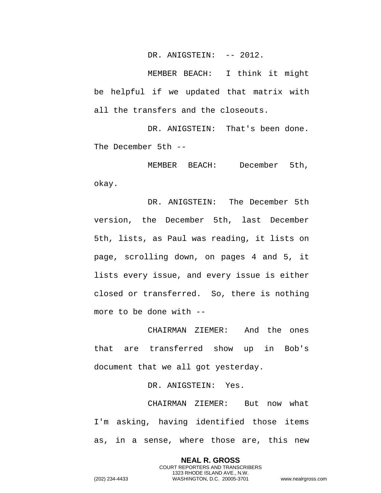DR. ANIGSTEIN: -- 2012.

MEMBER BEACH: I think it might be helpful if we updated that matrix with all the transfers and the closeouts.

DR. ANIGSTEIN: That's been done. The December 5th --

MEMBER BEACH: December 5th, okay.

DR. ANIGSTEIN: The December 5th version, the December 5th, last December 5th, lists, as Paul was reading, it lists on page, scrolling down, on pages 4 and 5, it lists every issue, and every issue is either closed or transferred. So, there is nothing more to be done with --

CHAIRMAN ZIEMER: And the ones that are transferred show up in Bob's document that we all got yesterday.

DR. ANIGSTEIN: Yes.

CHAIRMAN ZIEMER: But now what I'm asking, having identified those items as, in a sense, where those are, this new

> **NEAL R. GROSS** COURT REPORTERS AND TRANSCRIBERS 1323 RHODE ISLAND AVE., N.W.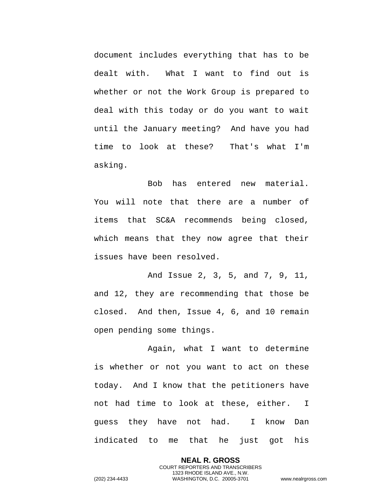document includes everything that has to be dealt with. What I want to find out is whether or not the Work Group is prepared to deal with this today or do you want to wait until the January meeting? And have you had time to look at these? That's what I'm asking.

Bob has entered new material. You will note that there are a number of items that SC&A recommends being closed, which means that they now agree that their issues have been resolved.

And Issue 2, 3, 5, and 7, 9, 11, and 12, they are recommending that those be closed. And then, Issue 4, 6, and 10 remain open pending some things.

Again, what I want to determine is whether or not you want to act on these today. And I know that the petitioners have not had time to look at these, either. I guess they have not had. I know Dan indicated to me that he just got his

> **NEAL R. GROSS** COURT REPORTERS AND TRANSCRIBERS 1323 RHODE ISLAND AVE., N.W.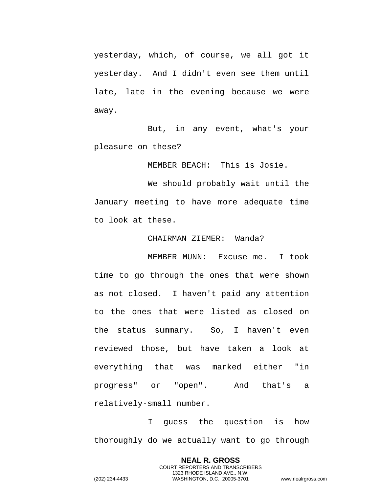yesterday, which, of course, we all got it yesterday. And I didn't even see them until late, late in the evening because we were away.

But, in any event, what's your pleasure on these?

MEMBER BEACH: This is Josie.

We should probably wait until the January meeting to have more adequate time to look at these.

## CHAIRMAN ZIEMER: Wanda?

MEMBER MUNN: Excuse me. I took time to go through the ones that were shown as not closed. I haven't paid any attention to the ones that were listed as closed on the status summary. So, I haven't even reviewed those, but have taken a look at everything that was marked either "in progress" or "open". And that's a relatively-small number.

I guess the question is how thoroughly do we actually want to go through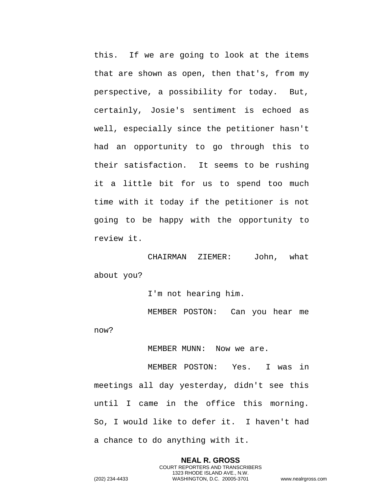this. If we are going to look at the items that are shown as open, then that's, from my perspective, a possibility for today. But, certainly, Josie's sentiment is echoed as well, especially since the petitioner hasn't had an opportunity to go through this to their satisfaction. It seems to be rushing it a little bit for us to spend too much time with it today if the petitioner is not going to be happy with the opportunity to review it.

CHAIRMAN ZIEMER: John, what about you?

I'm not hearing him.

MEMBER POSTON: Can you hear me now?

MEMBER MUNN: Now we are.

MEMBER POSTON: Yes. I was in meetings all day yesterday, didn't see this until I came in the office this morning. So, I would like to defer it. I haven't had a chance to do anything with it.

> **NEAL R. GROSS** COURT REPORTERS AND TRANSCRIBERS 1323 RHODE ISLAND AVE., N.W.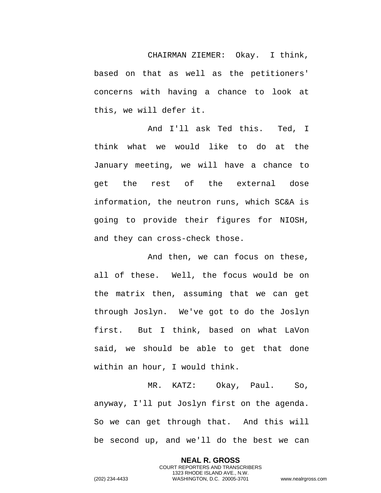CHAIRMAN ZIEMER: Okay. I think, based on that as well as the petitioners' concerns with having a chance to look at this, we will defer it.

And I'll ask Ted this. Ted, I think what we would like to do at the January meeting, we will have a chance to get the rest of the external dose information, the neutron runs, which SC&A is going to provide their figures for NIOSH, and they can cross-check those.

And then, we can focus on these, all of these. Well, the focus would be on the matrix then, assuming that we can get through Joslyn. We've got to do the Joslyn first. But I think, based on what LaVon said, we should be able to get that done within an hour, I would think.

MR. KATZ: Okay, Paul. So, anyway, I'll put Joslyn first on the agenda. So we can get through that. And this will be second up, and we'll do the best we can

> **NEAL R. GROSS** COURT REPORTERS AND TRANSCRIBERS 1323 RHODE ISLAND AVE., N.W.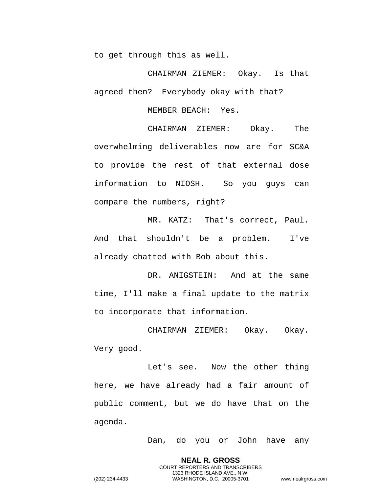to get through this as well.

CHAIRMAN ZIEMER: Okay. Is that agreed then? Everybody okay with that?

MEMBER BEACH: Yes.

CHAIRMAN ZIEMER: Okay. The overwhelming deliverables now are for SC&A to provide the rest of that external dose information to NIOSH. So you guys can compare the numbers, right?

MR. KATZ: That's correct, Paul. And that shouldn't be a problem. I've already chatted with Bob about this.

DR. ANIGSTEIN: And at the same time, I'll make a final update to the matrix to incorporate that information.

CHAIRMAN ZIEMER: Okay. Okay. Very good.

Let's see. Now the other thing here, we have already had a fair amount of public comment, but we do have that on the agenda.

Dan, do you or John have any

**NEAL R. GROSS** COURT REPORTERS AND TRANSCRIBERS 1323 RHODE ISLAND AVE., N.W.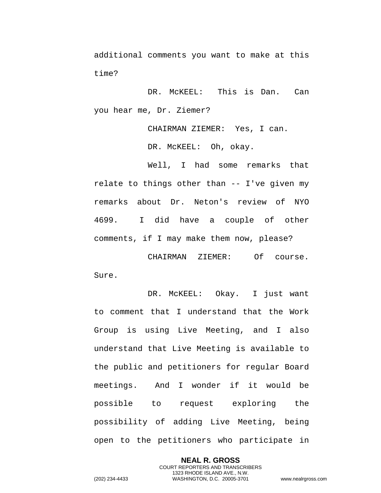additional comments you want to make at this time?

DR. McKEEL: This is Dan. Can you hear me, Dr. Ziemer?

CHAIRMAN ZIEMER: Yes, I can.

DR. McKEEL: Oh, okay.

Well, I had some remarks that relate to things other than -- I've given my remarks about Dr. Neton's review of NYO 4699. I did have a couple of other comments, if I may make them now, please?

CHAIRMAN ZIEMER: Of course. Sure.

DR. McKEEL: Okay. I just want to comment that I understand that the Work Group is using Live Meeting, and I also understand that Live Meeting is available to the public and petitioners for regular Board meetings. And I wonder if it would be possible to request exploring the possibility of adding Live Meeting, being open to the petitioners who participate in

**NEAL R. GROSS** COURT REPORTERS AND TRANSCRIBERS 1323 RHODE ISLAND AVE., N.W. (202) 234-4433 WASHINGTON, D.C. 20005-3701 www.nealrgross.com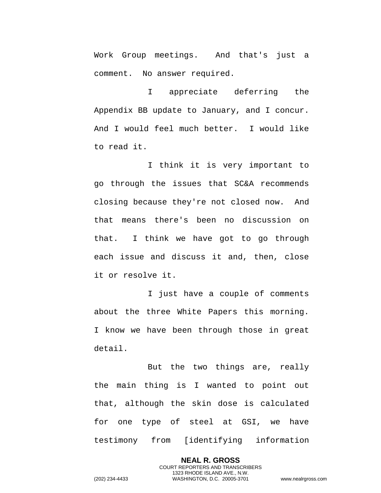Work Group meetings. And that's just a comment. No answer required.

I appreciate deferring the Appendix BB update to January, and I concur. And I would feel much better. I would like to read it.

I think it is very important to go through the issues that SC&A recommends closing because they're not closed now. And that means there's been no discussion on that. I think we have got to go through each issue and discuss it and, then, close it or resolve it.

I just have a couple of comments about the three White Papers this morning. I know we have been through those in great detail.

But the two things are, really the main thing is I wanted to point out that, although the skin dose is calculated for one type of steel at GSI, we have testimony from [identifying information

> **NEAL R. GROSS** COURT REPORTERS AND TRANSCRIBERS 1323 RHODE ISLAND AVE., N.W.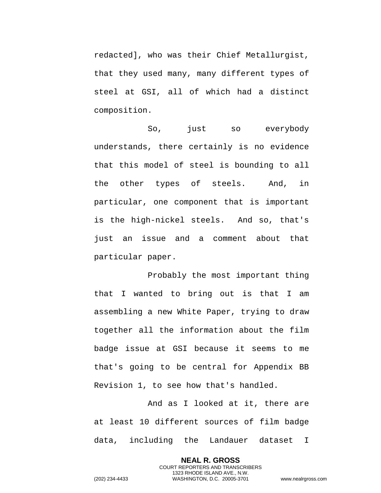redacted], who was their Chief Metallurgist, that they used many, many different types of steel at GSI, all of which had a distinct composition.

So, just so everybody understands, there certainly is no evidence that this model of steel is bounding to all the other types of steels. And, in particular, one component that is important is the high-nickel steels. And so, that's just an issue and a comment about that particular paper.

Probably the most important thing that I wanted to bring out is that I am assembling a new White Paper, trying to draw together all the information about the film badge issue at GSI because it seems to me that's going to be central for Appendix BB Revision 1, to see how that's handled.

And as I looked at it, there are at least 10 different sources of film badge data, including the Landauer dataset I

> **NEAL R. GROSS** COURT REPORTERS AND TRANSCRIBERS 1323 RHODE ISLAND AVE., N.W.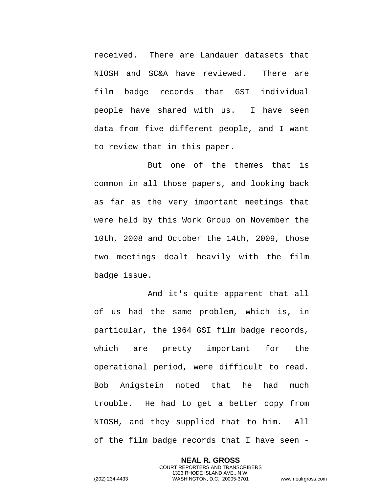received. There are Landauer datasets that NIOSH and SC&A have reviewed. There are film badge records that GSI individual people have shared with us. I have seen data from five different people, and I want to review that in this paper.

But one of the themes that is common in all those papers, and looking back as far as the very important meetings that were held by this Work Group on November the 10th, 2008 and October the 14th, 2009, those two meetings dealt heavily with the film badge issue.

And it's quite apparent that all of us had the same problem, which is, in particular, the 1964 GSI film badge records, which are pretty important for the operational period, were difficult to read. Bob Anigstein noted that he had much trouble. He had to get a better copy from NIOSH, and they supplied that to him. All of the film badge records that I have seen -

> **NEAL R. GROSS** COURT REPORTERS AND TRANSCRIBERS 1323 RHODE ISLAND AVE., N.W.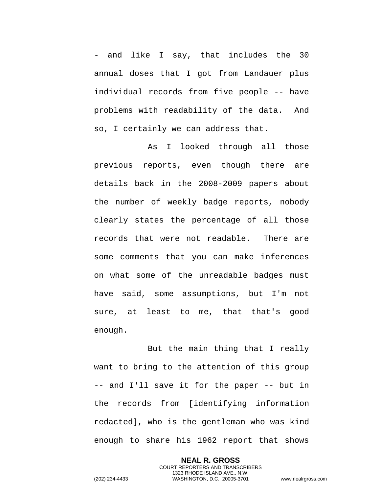and like I say, that includes the 30 annual doses that I got from Landauer plus individual records from five people -- have problems with readability of the data. And so, I certainly we can address that.

As I looked through all those previous reports, even though there are details back in the 2008-2009 papers about the number of weekly badge reports, nobody clearly states the percentage of all those records that were not readable. There are some comments that you can make inferences on what some of the unreadable badges must have said, some assumptions, but I'm not sure, at least to me, that that's good enough.

But the main thing that I really want to bring to the attention of this group -- and I'll save it for the paper -- but in the records from [identifying information redacted], who is the gentleman who was kind enough to share his 1962 report that shows

> **NEAL R. GROSS** COURT REPORTERS AND TRANSCRIBERS 1323 RHODE ISLAND AVE., N.W.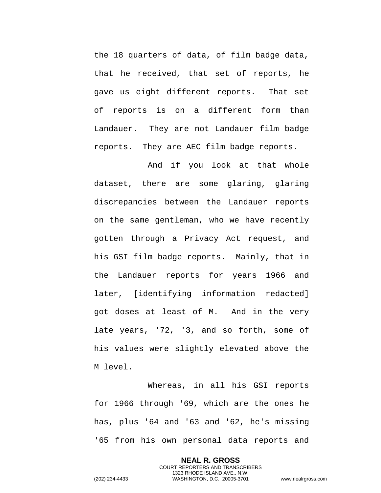the 18 quarters of data, of film badge data, that he received, that set of reports, he gave us eight different reports. That set of reports is on a different form than Landauer. They are not Landauer film badge reports. They are AEC film badge reports.

And if you look at that whole dataset, there are some glaring, glaring discrepancies between the Landauer reports on the same gentleman, who we have recently gotten through a Privacy Act request, and his GSI film badge reports. Mainly, that in the Landauer reports for years 1966 and later, [identifying information redacted] got doses at least of M. And in the very late years, '72, '3, and so forth, some of his values were slightly elevated above the M level.

Whereas, in all his GSI reports for 1966 through '69, which are the ones he has, plus '64 and '63 and '62, he's missing '65 from his own personal data reports and

> **NEAL R. GROSS** COURT REPORTERS AND TRANSCRIBERS 1323 RHODE ISLAND AVE., N.W.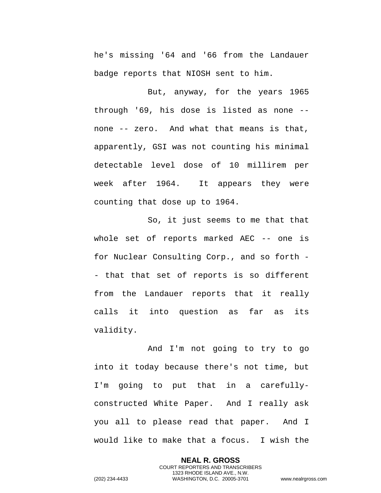he's missing '64 and '66 from the Landauer badge reports that NIOSH sent to him.

But, anyway, for the years 1965 through '69, his dose is listed as none - none -- zero. And what that means is that, apparently, GSI was not counting his minimal detectable level dose of 10 millirem per week after 1964. It appears they were counting that dose up to 1964.

So, it just seems to me that that whole set of reports marked AEC -- one is for Nuclear Consulting Corp., and so forth - - that that set of reports is so different from the Landauer reports that it really calls it into question as far as its validity.

And I'm not going to try to go into it today because there's not time, but I'm going to put that in a carefullyconstructed White Paper. And I really ask you all to please read that paper. And I would like to make that a focus. I wish the

> **NEAL R. GROSS** COURT REPORTERS AND TRANSCRIBERS 1323 RHODE ISLAND AVE., N.W.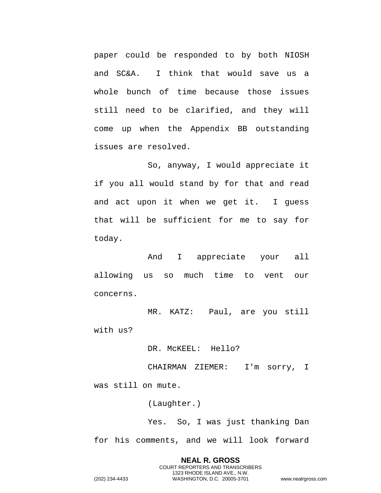paper could be responded to by both NIOSH and SC&A. I think that would save us a whole bunch of time because those issues still need to be clarified, and they will come up when the Appendix BB outstanding issues are resolved.

So, anyway, I would appreciate it if you all would stand by for that and read and act upon it when we get it. I guess that will be sufficient for me to say for today.

And I appreciate your all allowing us so much time to vent our concerns.

MR. KATZ: Paul, are you still with us?

DR. MCKEEL: Hello?

CHAIRMAN ZIEMER: I'm sorry, I was still on mute.

(Laughter.)

Yes. So, I was just thanking Dan for his comments, and we will look forward

**NEAL R. GROSS** COURT REPORTERS AND TRANSCRIBERS 1323 RHODE ISLAND AVE., N.W. (202) 234-4433 WASHINGTON, D.C. 20005-3701 www.nealrgross.com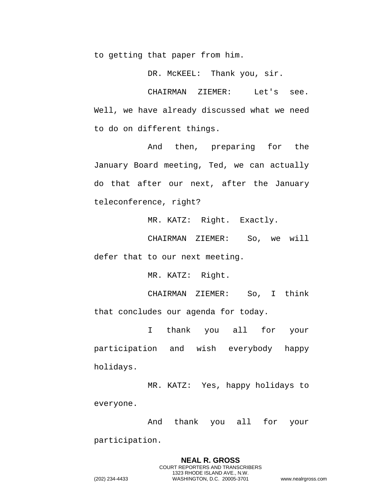to getting that paper from him.

DR. McKEEL: Thank you, sir.

CHAIRMAN ZIEMER: Let's see. Well, we have already discussed what we need to do on different things.

And then, preparing for the January Board meeting, Ted, we can actually do that after our next, after the January teleconference, right?

MR. KATZ: Right. Exactly.

CHAIRMAN ZIEMER: So, we will defer that to our next meeting.

MR. KATZ: Right.

CHAIRMAN ZIEMER: So, I think that concludes our agenda for today.

I thank you all for your participation and wish everybody happy holidays.

MR. KATZ: Yes, happy holidays to everyone.

And thank you all for your

participation.